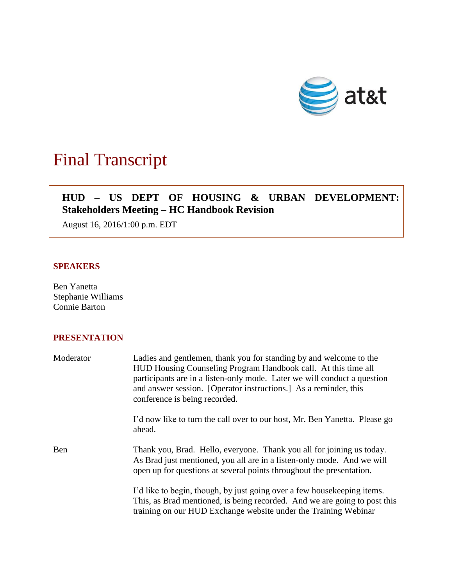

# Final Transcript

# **HUD – US DEPT OF HOUSING & URBAN DEVELOPMENT: Stakeholders Meeting – HC Handbook Revision**

August 16, 2016/1:00 p.m. EDT

# **SPEAKERS**

Ben Yanetta Stephanie Williams Connie Barton

# **PRESENTATION**

| Moderator | Ladies and gentlemen, thank you for standing by and welcome to the<br>HUD Housing Counseling Program Handbook call. At this time all<br>participants are in a listen-only mode. Later we will conduct a question<br>and answer session. [Operator instructions.] As a reminder, this<br>conference is being recorded. |
|-----------|-----------------------------------------------------------------------------------------------------------------------------------------------------------------------------------------------------------------------------------------------------------------------------------------------------------------------|
|           | I'd now like to turn the call over to our host, Mr. Ben Yanetta. Please go<br>ahead.                                                                                                                                                                                                                                  |
| Ben       | Thank you, Brad. Hello, everyone. Thank you all for joining us today.<br>As Brad just mentioned, you all are in a listen-only mode. And we will<br>open up for questions at several points throughout the presentation.                                                                                               |
|           | I'd like to begin, though, by just going over a few house keeping items.<br>This, as Brad mentioned, is being recorded. And we are going to post this<br>training on our HUD Exchange website under the Training Webinar                                                                                              |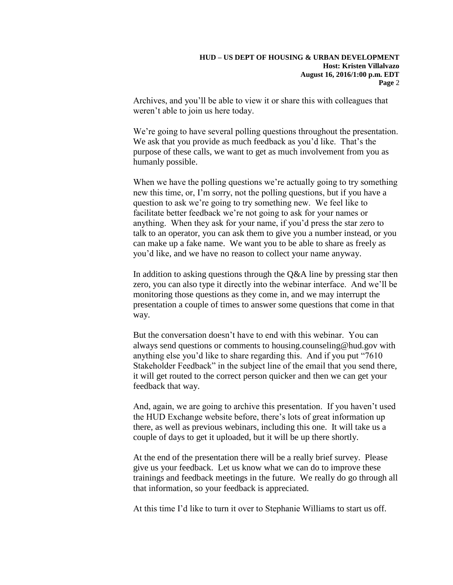Archives, and you'll be able to view it or share this with colleagues that weren't able to join us here today.

We're going to have several polling questions throughout the presentation. We ask that you provide as much feedback as you'd like. That's the purpose of these calls, we want to get as much involvement from you as humanly possible.

When we have the polling questions we're actually going to try something new this time, or, I'm sorry, not the polling questions, but if you have a question to ask we're going to try something new. We feel like to facilitate better feedback we're not going to ask for your names or anything. When they ask for your name, if you'd press the star zero to talk to an operator, you can ask them to give you a number instead, or you can make up a fake name. We want you to be able to share as freely as you'd like, and we have no reason to collect your name anyway.

In addition to asking questions through the  $Q&A$  line by pressing star then zero, you can also type it directly into the webinar interface. And we'll be monitoring those questions as they come in, and we may interrupt the presentation a couple of times to answer some questions that come in that way.

But the conversation doesn't have to end with this webinar. You can always send questions or comments to housing.counseling@hud.gov with anything else you'd like to share regarding this. And if you put "7610 Stakeholder Feedback" in the subject line of the email that you send there, it will get routed to the correct person quicker and then we can get your feedback that way.

And, again, we are going to archive this presentation. If you haven't used the HUD Exchange website before, there's lots of great information up there, as well as previous webinars, including this one. It will take us a couple of days to get it uploaded, but it will be up there shortly.

At the end of the presentation there will be a really brief survey. Please give us your feedback. Let us know what we can do to improve these trainings and feedback meetings in the future. We really do go through all that information, so your feedback is appreciated.

At this time I'd like to turn it over to Stephanie Williams to start us off.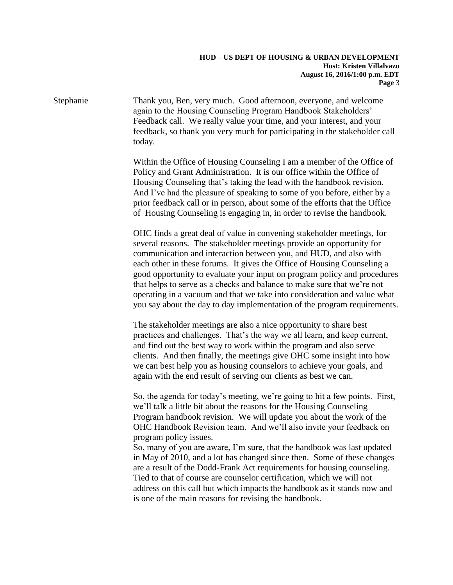Stephanie Thank you, Ben, very much. Good afternoon, everyone, and welcome again to the Housing Counseling Program Handbook Stakeholders' Feedback call. We really value your time, and your interest, and your feedback, so thank you very much for participating in the stakeholder call today.

> Within the Office of Housing Counseling I am a member of the Office of Policy and Grant Administration. It is our office within the Office of Housing Counseling that's taking the lead with the handbook revision. And I've had the pleasure of speaking to some of you before, either by a prior feedback call or in person, about some of the efforts that the Office of Housing Counseling is engaging in, in order to revise the handbook.

OHC finds a great deal of value in convening stakeholder meetings, for several reasons. The stakeholder meetings provide an opportunity for communication and interaction between you, and HUD, and also with each other in these forums. It gives the Office of Housing Counseling a good opportunity to evaluate your input on program policy and procedures that helps to serve as a checks and balance to make sure that we're not operating in a vacuum and that we take into consideration and value what you say about the day to day implementation of the program requirements.

The stakeholder meetings are also a nice opportunity to share best practices and challenges. That's the way we all learn, and keep current, and find out the best way to work within the program and also serve clients. And then finally, the meetings give OHC some insight into how we can best help you as housing counselors to achieve your goals, and again with the end result of serving our clients as best we can.

So, the agenda for today's meeting, we're going to hit a few points. First, we'll talk a little bit about the reasons for the Housing Counseling Program handbook revision. We will update you about the work of the OHC Handbook Revision team. And we'll also invite your feedback on program policy issues.

So, many of you are aware, I'm sure, that the handbook was last updated in May of 2010, and a lot has changed since then. Some of these changes are a result of the Dodd-Frank Act requirements for housing counseling. Tied to that of course are counselor certification, which we will not address on this call but which impacts the handbook as it stands now and is one of the main reasons for revising the handbook.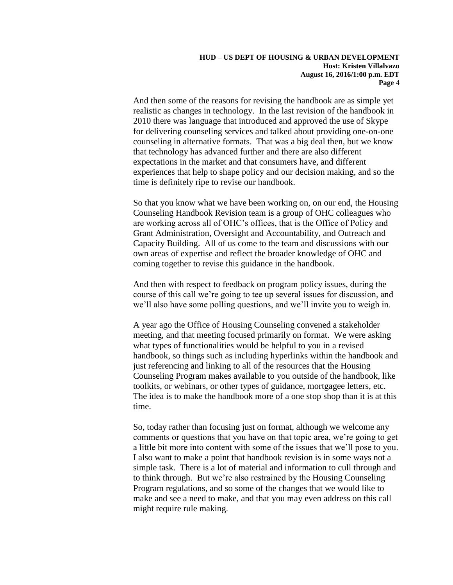And then some of the reasons for revising the handbook are as simple yet realistic as changes in technology. In the last revision of the handbook in 2010 there was language that introduced and approved the use of Skype for delivering counseling services and talked about providing one-on-one counseling in alternative formats. That was a big deal then, but we know that technology has advanced further and there are also different expectations in the market and that consumers have, and different experiences that help to shape policy and our decision making, and so the time is definitely ripe to revise our handbook.

So that you know what we have been working on, on our end, the Housing Counseling Handbook Revision team is a group of OHC colleagues who are working across all of OHC's offices, that is the Office of Policy and Grant Administration, Oversight and Accountability, and Outreach and Capacity Building. All of us come to the team and discussions with our own areas of expertise and reflect the broader knowledge of OHC and coming together to revise this guidance in the handbook.

And then with respect to feedback on program policy issues, during the course of this call we're going to tee up several issues for discussion, and we'll also have some polling questions, and we'll invite you to weigh in.

A year ago the Office of Housing Counseling convened a stakeholder meeting, and that meeting focused primarily on format. We were asking what types of functionalities would be helpful to you in a revised handbook, so things such as including hyperlinks within the handbook and just referencing and linking to all of the resources that the Housing Counseling Program makes available to you outside of the handbook, like toolkits, or webinars, or other types of guidance, mortgagee letters, etc. The idea is to make the handbook more of a one stop shop than it is at this time.

So, today rather than focusing just on format, although we welcome any comments or questions that you have on that topic area, we're going to get a little bit more into content with some of the issues that we'll pose to you. I also want to make a point that handbook revision is in some ways not a simple task. There is a lot of material and information to cull through and to think through. But we're also restrained by the Housing Counseling Program regulations, and so some of the changes that we would like to make and see a need to make, and that you may even address on this call might require rule making.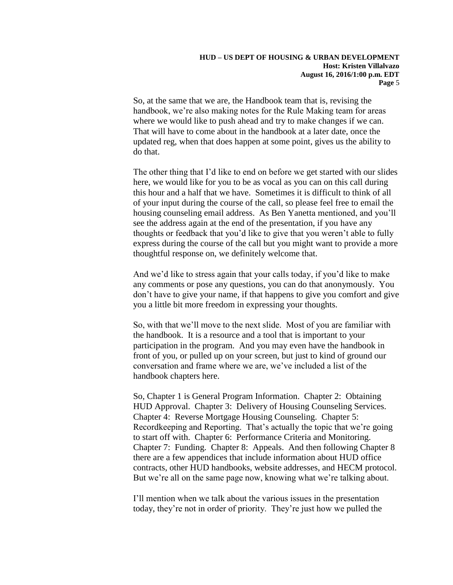So, at the same that we are, the Handbook team that is, revising the handbook, we're also making notes for the Rule Making team for areas where we would like to push ahead and try to make changes if we can. That will have to come about in the handbook at a later date, once the updated reg, when that does happen at some point, gives us the ability to do that.

The other thing that I'd like to end on before we get started with our slides here, we would like for you to be as vocal as you can on this call during this hour and a half that we have. Sometimes it is difficult to think of all of your input during the course of the call, so please feel free to email the housing counseling email address. As Ben Yanetta mentioned, and you'll see the address again at the end of the presentation, if you have any thoughts or feedback that you'd like to give that you weren't able to fully express during the course of the call but you might want to provide a more thoughtful response on, we definitely welcome that.

And we'd like to stress again that your calls today, if you'd like to make any comments or pose any questions, you can do that anonymously. You don't have to give your name, if that happens to give you comfort and give you a little bit more freedom in expressing your thoughts.

So, with that we'll move to the next slide. Most of you are familiar with the handbook. It is a resource and a tool that is important to your participation in the program. And you may even have the handbook in front of you, or pulled up on your screen, but just to kind of ground our conversation and frame where we are, we've included a list of the handbook chapters here.

So, Chapter 1 is General Program Information. Chapter 2: Obtaining HUD Approval. Chapter 3: Delivery of Housing Counseling Services. Chapter 4: Reverse Mortgage Housing Counseling. Chapter 5: Recordkeeping and Reporting. That's actually the topic that we're going to start off with. Chapter 6: Performance Criteria and Monitoring. Chapter 7: Funding. Chapter 8: Appeals. And then following Chapter 8 there are a few appendices that include information about HUD office contracts, other HUD handbooks, website addresses, and HECM protocol. But we're all on the same page now, knowing what we're talking about.

I'll mention when we talk about the various issues in the presentation today, they're not in order of priority. They're just how we pulled the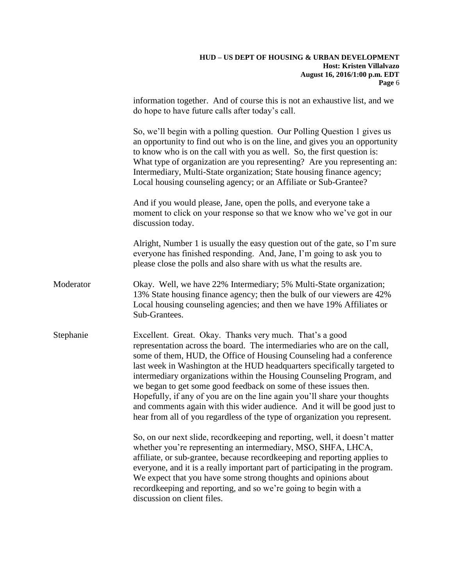# **HUD – US DEPT OF HOUSING & URBAN DEVELOPMENT Host: Kristen Villalvazo August 16, 2016/1:00 p.m. EDT Page** 6 information together. And of course this is not an exhaustive list, and we do hope to have future calls after today's call. So, we'll begin with a polling question. Our Polling Question 1 gives us an opportunity to find out who is on the line, and gives you an opportunity to know who is on the call with you as well. So, the first question is: What type of organization are you representing? Are you representing an: Intermediary, Multi-State organization; State housing finance agency; Local housing counseling agency; or an Affiliate or Sub-Grantee? And if you would please, Jane, open the polls, and everyone take a moment to click on your response so that we know who we've got in our discussion today. Alright, Number 1 is usually the easy question out of the gate, so I'm sure everyone has finished responding. And, Jane, I'm going to ask you to please close the polls and also share with us what the results are. Moderator Okay. Well, we have 22% Intermediary; 5% Multi-State organization; 13% State housing finance agency; then the bulk of our viewers are 42% Local housing counseling agencies; and then we have 19% Affiliates or Sub-Grantees. Stephanie Excellent. Great. Okay. Thanks very much. That's a good representation across the board. The intermediaries who are on the call, some of them, HUD, the Office of Housing Counseling had a conference last week in Washington at the HUD headquarters specifically targeted to intermediary organizations within the Housing Counseling Program, and we began to get some good feedback on some of these issues then. Hopefully, if any of you are on the line again you'll share your thoughts and comments again with this wider audience. And it will be good just to hear from all of you regardless of the type of organization you represent. So, on our next slide, recordkeeping and reporting, well, it doesn't matter whether you're representing an intermediary, MSO, SHFA, LHCA, affiliate, or sub-grantee, because recordkeeping and reporting applies to everyone, and it is a really important part of participating in the program. We expect that you have some strong thoughts and opinions about recordkeeping and reporting, and so we're going to begin with a discussion on client files.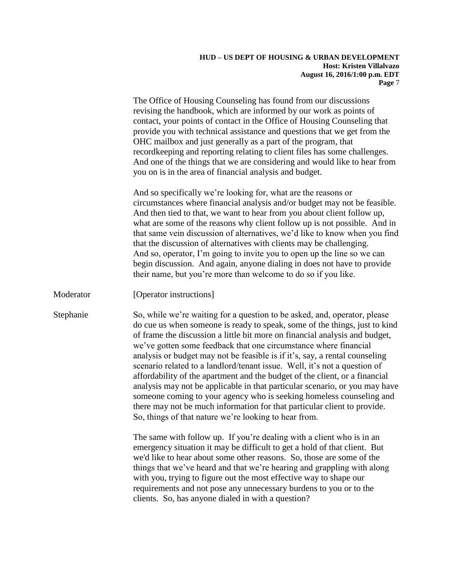The Office of Housing Counseling has found from our discussions revising the handbook, which are informed by our work as points of contact, your points of contact in the Office of Housing Counseling that provide you with technical assistance and questions that we get from the OHC mailbox and just generally as a part of the program, that recordkeeping and reporting relating to client files has some challenges. And one of the things that we are considering and would like to hear from you on is in the area of financial analysis and budget.

And so specifically we're looking for, what are the reasons or circumstances where financial analysis and/or budget may not be feasible. And then tied to that, we want to hear from you about client follow up, what are some of the reasons why client follow up is not possible. And in that same vein discussion of alternatives, we'd like to know when you find that the discussion of alternatives with clients may be challenging. And so, operator, I'm going to invite you to open up the line so we can begin discussion. And again, anyone dialing in does not have to provide their name, but you're more than welcome to do so if you like.

Moderator [Operator instructions]

Stephanie So, while we're waiting for a question to be asked, and, operator, please do cue us when someone is ready to speak, some of the things, just to kind of frame the discussion a little bit more on financial analysis and budget, we've gotten some feedback that one circumstance where financial analysis or budget may not be feasible is if it's, say, a rental counseling scenario related to a landlord/tenant issue. Well, it's not a question of affordability of the apartment and the budget of the client, or a financial analysis may not be applicable in that particular scenario, or you may have someone coming to your agency who is seeking homeless counseling and there may not be much information for that particular client to provide. So, things of that nature we're looking to hear from.

> The same with follow up. If you're dealing with a client who is in an emergency situation it may be difficult to get a hold of that client. But we'd like to hear about some other reasons. So, those are some of the things that we've heard and that we're hearing and grappling with along with you, trying to figure out the most effective way to shape our requirements and not pose any unnecessary burdens to you or to the clients. So, has anyone dialed in with a question?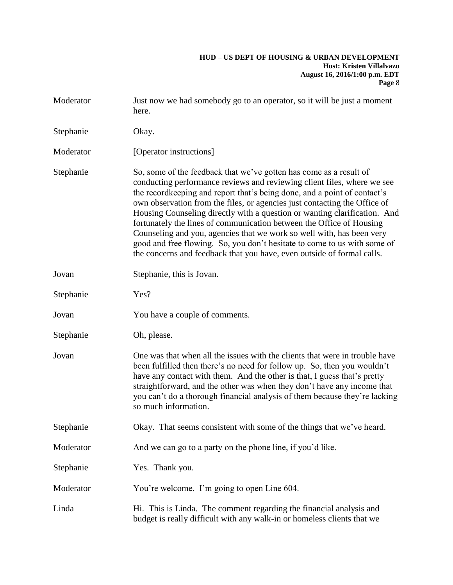| Moderator | Just now we had somebody go to an operator, so it will be just a moment<br>here.                                                                                                                                                                                                                                                                                                                                                                                                                                                                                                                                                                                                            |  |
|-----------|---------------------------------------------------------------------------------------------------------------------------------------------------------------------------------------------------------------------------------------------------------------------------------------------------------------------------------------------------------------------------------------------------------------------------------------------------------------------------------------------------------------------------------------------------------------------------------------------------------------------------------------------------------------------------------------------|--|
| Stephanie | Okay.                                                                                                                                                                                                                                                                                                                                                                                                                                                                                                                                                                                                                                                                                       |  |
| Moderator | [Operator instructions]                                                                                                                                                                                                                                                                                                                                                                                                                                                                                                                                                                                                                                                                     |  |
| Stephanie | So, some of the feedback that we've gotten has come as a result of<br>conducting performance reviews and reviewing client files, where we see<br>the record keeping and report that's being done, and a point of contact's<br>own observation from the files, or agencies just contacting the Office of<br>Housing Counseling directly with a question or wanting clarification. And<br>fortunately the lines of communication between the Office of Housing<br>Counseling and you, agencies that we work so well with, has been very<br>good and free flowing. So, you don't hesitate to come to us with some of<br>the concerns and feedback that you have, even outside of formal calls. |  |
| Jovan     | Stephanie, this is Jovan.                                                                                                                                                                                                                                                                                                                                                                                                                                                                                                                                                                                                                                                                   |  |
| Stephanie | Yes?                                                                                                                                                                                                                                                                                                                                                                                                                                                                                                                                                                                                                                                                                        |  |
| Jovan     | You have a couple of comments.                                                                                                                                                                                                                                                                                                                                                                                                                                                                                                                                                                                                                                                              |  |
| Stephanie | Oh, please.                                                                                                                                                                                                                                                                                                                                                                                                                                                                                                                                                                                                                                                                                 |  |
| Jovan     | One was that when all the issues with the clients that were in trouble have<br>been fulfilled then there's no need for follow up. So, then you wouldn't<br>have any contact with them. And the other is that, I guess that's pretty<br>straightforward, and the other was when they don't have any income that<br>you can't do a thorough financial analysis of them because they're lacking<br>so much information.                                                                                                                                                                                                                                                                        |  |
| Stephanie | Okay. That seems consistent with some of the things that we've heard.                                                                                                                                                                                                                                                                                                                                                                                                                                                                                                                                                                                                                       |  |
| Moderator | And we can go to a party on the phone line, if you'd like.                                                                                                                                                                                                                                                                                                                                                                                                                                                                                                                                                                                                                                  |  |
| Stephanie | Yes. Thank you.                                                                                                                                                                                                                                                                                                                                                                                                                                                                                                                                                                                                                                                                             |  |
| Moderator | You're welcome. I'm going to open Line 604.                                                                                                                                                                                                                                                                                                                                                                                                                                                                                                                                                                                                                                                 |  |
| Linda     | Hi. This is Linda. The comment regarding the financial analysis and<br>budget is really difficult with any walk-in or homeless clients that we                                                                                                                                                                                                                                                                                                                                                                                                                                                                                                                                              |  |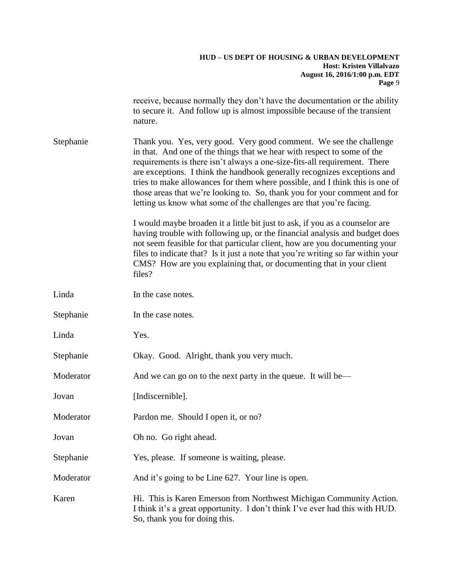receive, because normally they don't have the documentation or the ability to secure it. And follow up is almost impossible because of the transient nature.

Stephanie Thank you. Yes, very good. Very good comment. We see the challenge in that. And one of the things that we hear with respect to some of the requirements is there isn't always a one-size-fits-all requirement. There are exceptions. I think the handbook generally recognizes exceptions and tries to make allowances for them where possible, and I think this is one of those areas that we're looking to. So, thank you for your comment and for letting us know what some of the challenges are that you're facing.

> I would maybe broaden it a little bit just to ask, if you as a counselor are having trouble with following up, or the financial analysis and budget does not seem feasible for that particular client, how are you documenting your files to indicate that? Is it just a note that you're writing so far within your CMS? How are you explaining that, or documenting that in your client files?

| Linda     | In the case notes.                                                                                                                                                                   |  |
|-----------|--------------------------------------------------------------------------------------------------------------------------------------------------------------------------------------|--|
| Stephanie | In the case notes.                                                                                                                                                                   |  |
| Linda     | Yes.                                                                                                                                                                                 |  |
| Stephanie | Okay. Good. Alright, thank you very much.                                                                                                                                            |  |
| Moderator | And we can go on to the next party in the queue. It will be—                                                                                                                         |  |
| Jovan     | [Indiscernible].                                                                                                                                                                     |  |
| Moderator | Pardon me. Should I open it, or no?                                                                                                                                                  |  |
| Jovan     | Oh no. Go right ahead.                                                                                                                                                               |  |
| Stephanie | Yes, please. If someone is waiting, please.                                                                                                                                          |  |
| Moderator | And it's going to be Line 627. Your line is open.                                                                                                                                    |  |
| Karen     | Hi. This is Karen Emerson from Northwest Michigan Community Action.<br>I think it's a great opportunity. I don't think I've ever had this with HUD.<br>So, thank you for doing this. |  |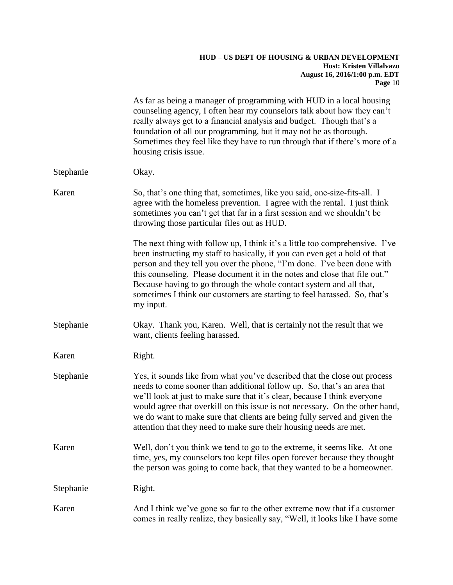|           | As far as being a manager of programming with HUD in a local housing<br>counseling agency, I often hear my counselors talk about how they can't<br>really always get to a financial analysis and budget. Though that's a<br>foundation of all our programming, but it may not be as thorough.<br>Sometimes they feel like they have to run through that if there's more of a<br>housing crisis issue.                                                                                |  |
|-----------|--------------------------------------------------------------------------------------------------------------------------------------------------------------------------------------------------------------------------------------------------------------------------------------------------------------------------------------------------------------------------------------------------------------------------------------------------------------------------------------|--|
| Stephanie | Okay.                                                                                                                                                                                                                                                                                                                                                                                                                                                                                |  |
| Karen     | So, that's one thing that, sometimes, like you said, one-size-fits-all. I<br>agree with the homeless prevention. I agree with the rental. I just think<br>sometimes you can't get that far in a first session and we shouldn't be<br>throwing those particular files out as HUD.                                                                                                                                                                                                     |  |
|           | The next thing with follow up, I think it's a little too comprehensive. I've<br>been instructing my staff to basically, if you can even get a hold of that<br>person and they tell you over the phone, "I'm done. I've been done with<br>this counseling. Please document it in the notes and close that file out."<br>Because having to go through the whole contact system and all that,<br>sometimes I think our customers are starting to feel harassed. So, that's<br>my input. |  |
| Stephanie | Okay. Thank you, Karen. Well, that is certainly not the result that we<br>want, clients feeling harassed.                                                                                                                                                                                                                                                                                                                                                                            |  |
| Karen     | Right.                                                                                                                                                                                                                                                                                                                                                                                                                                                                               |  |
| Stephanie | Yes, it sounds like from what you've described that the close out process<br>needs to come sooner than additional follow up. So, that's an area that<br>we'll look at just to make sure that it's clear, because I think everyone<br>would agree that overkill on this issue is not necessary. On the other hand,<br>we do want to make sure that clients are being fully served and given the<br>attention that they need to make sure their housing needs are met.                 |  |
| Karen     | Well, don't you think we tend to go to the extreme, it seems like. At one<br>time, yes, my counselors too kept files open forever because they thought<br>the person was going to come back, that they wanted to be a homeowner.                                                                                                                                                                                                                                                     |  |
| Stephanie | Right.                                                                                                                                                                                                                                                                                                                                                                                                                                                                               |  |
| Karen     | And I think we've gone so far to the other extreme now that if a customer<br>comes in really realize, they basically say, "Well, it looks like I have some                                                                                                                                                                                                                                                                                                                           |  |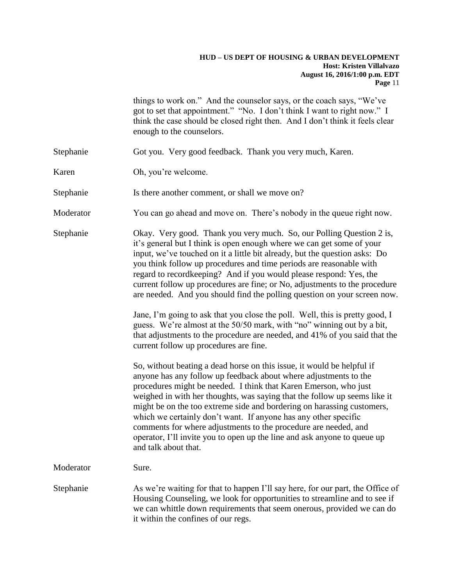|           | things to work on." And the counselor says, or the coach says, "We've<br>got to set that appointment." "No. I don't think I want to right now." I<br>think the case should be closed right then. And I don't think it feels clear<br>enough to the counselors.                                                                                                                                                                                                                                                                                                                                                  |  |
|-----------|-----------------------------------------------------------------------------------------------------------------------------------------------------------------------------------------------------------------------------------------------------------------------------------------------------------------------------------------------------------------------------------------------------------------------------------------------------------------------------------------------------------------------------------------------------------------------------------------------------------------|--|
| Stephanie | Got you. Very good feedback. Thank you very much, Karen.                                                                                                                                                                                                                                                                                                                                                                                                                                                                                                                                                        |  |
| Karen     | Oh, you're welcome.                                                                                                                                                                                                                                                                                                                                                                                                                                                                                                                                                                                             |  |
| Stephanie | Is there another comment, or shall we move on?                                                                                                                                                                                                                                                                                                                                                                                                                                                                                                                                                                  |  |
| Moderator | You can go ahead and move on. There's nobody in the queue right now.                                                                                                                                                                                                                                                                                                                                                                                                                                                                                                                                            |  |
| Stephanie | Okay. Very good. Thank you very much. So, our Polling Question 2 is,<br>it's general but I think is open enough where we can get some of your<br>input, we've touched on it a little bit already, but the question asks: Do<br>you think follow up procedures and time periods are reasonable with<br>regard to recordkeeping? And if you would please respond: Yes, the<br>current follow up procedures are fine; or No, adjustments to the procedure<br>are needed. And you should find the polling question on your screen now.                                                                              |  |
|           | Jane, I'm going to ask that you close the poll. Well, this is pretty good, I<br>guess. We're almost at the 50/50 mark, with "no" winning out by a bit,<br>that adjustments to the procedure are needed, and 41% of you said that the<br>current follow up procedures are fine.                                                                                                                                                                                                                                                                                                                                  |  |
|           | So, without beating a dead horse on this issue, it would be helpful if<br>anyone has any follow up feedback about where adjustments to the<br>procedures might be needed. I think that Karen Emerson, who just<br>weighed in with her thoughts, was saying that the follow up seems like it<br>might be on the too extreme side and bordering on harassing customers,<br>which we certainly don't want. If anyone has any other specific<br>comments for where adjustments to the procedure are needed, and<br>operator, I'll invite you to open up the line and ask anyone to queue up<br>and talk about that. |  |
| Moderator | Sure.                                                                                                                                                                                                                                                                                                                                                                                                                                                                                                                                                                                                           |  |
| Stephanie | As we're waiting for that to happen I'll say here, for our part, the Office of<br>Housing Counseling, we look for opportunities to streamline and to see if<br>we can whittle down requirements that seem onerous, provided we can do<br>it within the confines of our regs.                                                                                                                                                                                                                                                                                                                                    |  |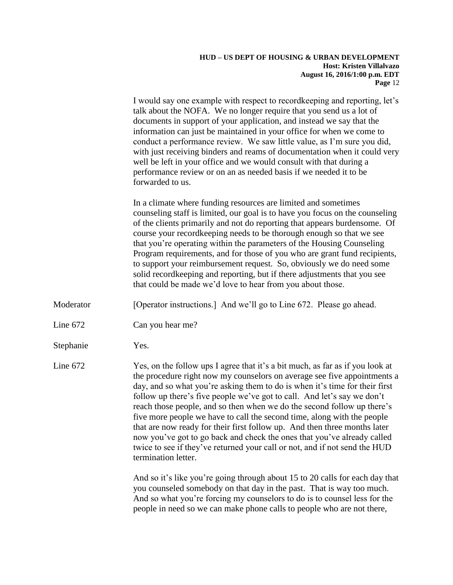I would say one example with respect to recordkeeping and reporting, let's talk about the NOFA. We no longer require that you send us a lot of documents in support of your application, and instead we say that the information can just be maintained in your office for when we come to conduct a performance review. We saw little value, as I'm sure you did, with just receiving binders and reams of documentation when it could very well be left in your office and we would consult with that during a performance review or on an as needed basis if we needed it to be forwarded to us.

In a climate where funding resources are limited and sometimes counseling staff is limited, our goal is to have you focus on the counseling of the clients primarily and not do reporting that appears burdensome. Of course your recordkeeping needs to be thorough enough so that we see that you're operating within the parameters of the Housing Counseling Program requirements, and for those of you who are grant fund recipients, to support your reimbursement request. So, obviously we do need some solid recordkeeping and reporting, but if there adjustments that you see that could be made we'd love to hear from you about those.

Moderator [Operator instructions.] And we'll go to Line 672. Please go ahead.

- Line 672 Can you hear me?
- Stephanie Yes.

Line 672 Yes, on the follow ups I agree that it's a bit much, as far as if you look at the procedure right now my counselors on average see five appointments a day, and so what you're asking them to do is when it's time for their first follow up there's five people we've got to call. And let's say we don't reach those people, and so then when we do the second follow up there's five more people we have to call the second time, along with the people that are now ready for their first follow up. And then three months later now you've got to go back and check the ones that you've already called twice to see if they've returned your call or not, and if not send the HUD termination letter.

> And so it's like you're going through about 15 to 20 calls for each day that you counseled somebody on that day in the past. That is way too much. And so what you're forcing my counselors to do is to counsel less for the people in need so we can make phone calls to people who are not there,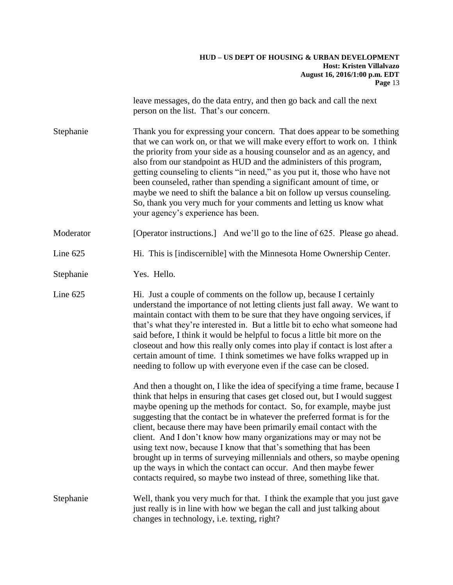leave messages, do the data entry, and then go back and call the next person on the list. That's our concern.

Stephanie Thank you for expressing your concern. That does appear to be something that we can work on, or that we will make every effort to work on. I think the priority from your side as a housing counselor and as an agency, and also from our standpoint as HUD and the administers of this program, getting counseling to clients "in need," as you put it, those who have not been counseled, rather than spending a significant amount of time, or maybe we need to shift the balance a bit on follow up versus counseling. So, thank you very much for your comments and letting us know what your agency's experience has been.

Moderator [Operator instructions.] And we'll go to the line of 625. Please go ahead.

Line 625 Hi. This is [indiscernible] with the Minnesota Home Ownership Center.

Stephanie Yes. Hello.

Line 625 Hi. Just a couple of comments on the follow up, because I certainly understand the importance of not letting clients just fall away. We want to maintain contact with them to be sure that they have ongoing services, if that's what they're interested in. But a little bit to echo what someone had said before, I think it would be helpful to focus a little bit more on the closeout and how this really only comes into play if contact is lost after a certain amount of time. I think sometimes we have folks wrapped up in needing to follow up with everyone even if the case can be closed.

> And then a thought on, I like the idea of specifying a time frame, because I think that helps in ensuring that cases get closed out, but I would suggest maybe opening up the methods for contact. So, for example, maybe just suggesting that the contact be in whatever the preferred format is for the client, because there may have been primarily email contact with the client. And I don't know how many organizations may or may not be using text now, because I know that that's something that has been brought up in terms of surveying millennials and others, so maybe opening up the ways in which the contact can occur. And then maybe fewer contacts required, so maybe two instead of three, something like that.

Stephanie Well, thank you very much for that. I think the example that you just gave just really is in line with how we began the call and just talking about changes in technology, i.e. texting, right?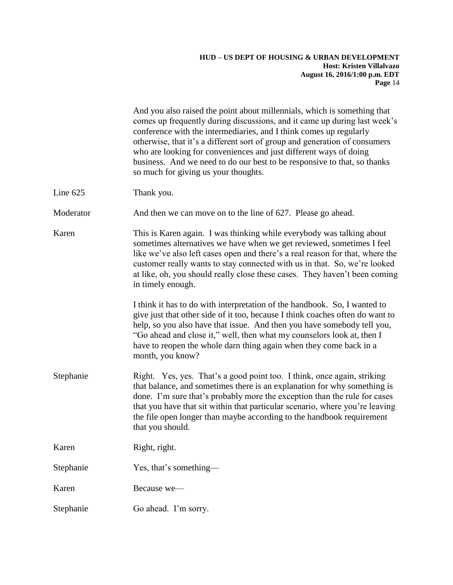|           | And you also raised the point about millennials, which is something that<br>comes up frequently during discussions, and it came up during last week's<br>conference with the intermediaries, and I think comes up regularly<br>otherwise, that it's a different sort of group and generation of consumers<br>who are looking for conveniences and just different ways of doing<br>business. And we need to do our best to be responsive to that, so thanks<br>so much for giving us your thoughts. |
|-----------|----------------------------------------------------------------------------------------------------------------------------------------------------------------------------------------------------------------------------------------------------------------------------------------------------------------------------------------------------------------------------------------------------------------------------------------------------------------------------------------------------|
| Line 625  | Thank you.                                                                                                                                                                                                                                                                                                                                                                                                                                                                                         |
| Moderator | And then we can move on to the line of 627. Please go ahead.                                                                                                                                                                                                                                                                                                                                                                                                                                       |
| Karen     | This is Karen again. I was thinking while everybody was talking about<br>sometimes alternatives we have when we get reviewed, sometimes I feel<br>like we've also left cases open and there's a real reason for that, where the<br>customer really wants to stay connected with us in that. So, we're looked<br>at like, oh, you should really close these cases. They haven't been coming<br>in timely enough.                                                                                    |
|           | I think it has to do with interpretation of the handbook. So, I wanted to<br>give just that other side of it too, because I think coaches often do want to<br>help, so you also have that issue. And then you have somebody tell you,<br>"Go ahead and close it," well, then what my counselors look at, then I<br>have to reopen the whole darn thing again when they come back in a<br>month, you know?                                                                                          |
| Stephanie | Right. Yes, yes. That's a good point too. I think, once again, striking<br>that balance, and sometimes there is an explanation for why something is<br>done. I'm sure that's probably more the exception than the rule for cases<br>that you have that sit within that particular scenario, where you're leaving<br>the file open longer than maybe according to the handbook requirement<br>that you should.                                                                                      |
| Karen     | Right, right.                                                                                                                                                                                                                                                                                                                                                                                                                                                                                      |
| Stephanie | Yes, that's something—                                                                                                                                                                                                                                                                                                                                                                                                                                                                             |
| Karen     | Because we-                                                                                                                                                                                                                                                                                                                                                                                                                                                                                        |
| Stephanie | Go ahead. I'm sorry.                                                                                                                                                                                                                                                                                                                                                                                                                                                                               |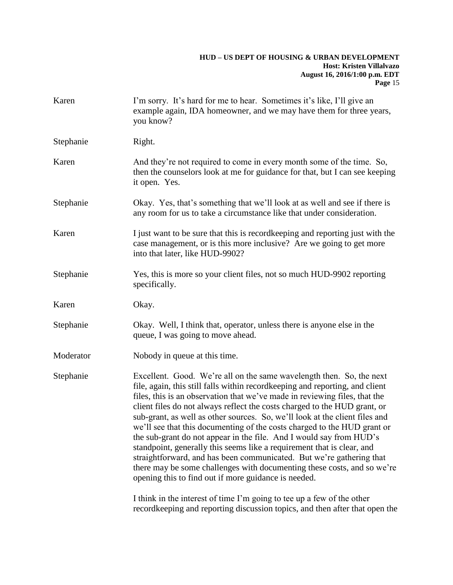| Karen     | I'm sorry. It's hard for me to hear. Sometimes it's like, I'll give an<br>example again, IDA homeowner, and we may have them for three years,<br>you know?                                                                                                                                                                                                                                                                                                                                                                                                                                                                                                                                                                                                                                                                             |  |
|-----------|----------------------------------------------------------------------------------------------------------------------------------------------------------------------------------------------------------------------------------------------------------------------------------------------------------------------------------------------------------------------------------------------------------------------------------------------------------------------------------------------------------------------------------------------------------------------------------------------------------------------------------------------------------------------------------------------------------------------------------------------------------------------------------------------------------------------------------------|--|
| Stephanie | Right.                                                                                                                                                                                                                                                                                                                                                                                                                                                                                                                                                                                                                                                                                                                                                                                                                                 |  |
| Karen     | And they're not required to come in every month some of the time. So,<br>then the counselors look at me for guidance for that, but I can see keeping<br>it open. Yes.                                                                                                                                                                                                                                                                                                                                                                                                                                                                                                                                                                                                                                                                  |  |
| Stephanie | Okay. Yes, that's something that we'll look at as well and see if there is<br>any room for us to take a circumstance like that under consideration.                                                                                                                                                                                                                                                                                                                                                                                                                                                                                                                                                                                                                                                                                    |  |
| Karen     | I just want to be sure that this is record keeping and reporting just with the<br>case management, or is this more inclusive? Are we going to get more<br>into that later, like HUD-9902?                                                                                                                                                                                                                                                                                                                                                                                                                                                                                                                                                                                                                                              |  |
| Stephanie | Yes, this is more so your client files, not so much HUD-9902 reporting<br>specifically.                                                                                                                                                                                                                                                                                                                                                                                                                                                                                                                                                                                                                                                                                                                                                |  |
| Karen     | Okay.                                                                                                                                                                                                                                                                                                                                                                                                                                                                                                                                                                                                                                                                                                                                                                                                                                  |  |
| Stephanie | Okay. Well, I think that, operator, unless there is anyone else in the<br>queue, I was going to move ahead.                                                                                                                                                                                                                                                                                                                                                                                                                                                                                                                                                                                                                                                                                                                            |  |
| Moderator | Nobody in queue at this time.                                                                                                                                                                                                                                                                                                                                                                                                                                                                                                                                                                                                                                                                                                                                                                                                          |  |
| Stephanie | Excellent. Good. We're all on the same wavelength then. So, the next<br>file, again, this still falls within recordkeeping and reporting, and client<br>files, this is an observation that we've made in reviewing files, that the<br>client files do not always reflect the costs charged to the HUD grant, or<br>sub-grant, as well as other sources. So, we'll look at the client files and<br>we'll see that this documenting of the costs charged to the HUD grant or<br>the sub-grant do not appear in the file. And I would say from HUD's<br>standpoint, generally this seems like a requirement that is clear, and<br>straightforward, and has been communicated. But we're gathering that<br>there may be some challenges with documenting these costs, and so we're<br>opening this to find out if more guidance is needed. |  |
|           | I think in the interest of time I'm going to tee up a few of the other<br>recordkeeping and reporting discussion topics, and then after that open the                                                                                                                                                                                                                                                                                                                                                                                                                                                                                                                                                                                                                                                                                  |  |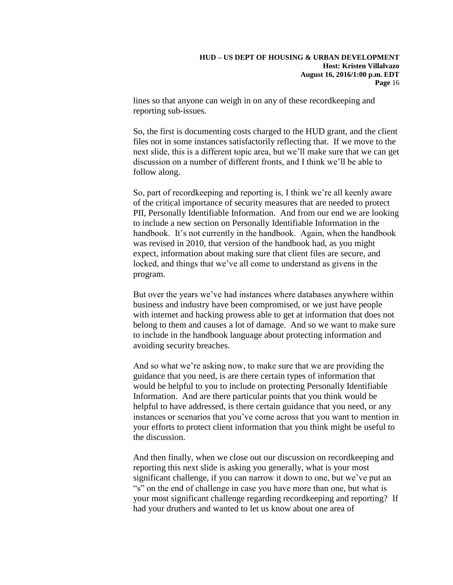lines so that anyone can weigh in on any of these recordkeeping and reporting sub-issues.

So, the first is documenting costs charged to the HUD grant, and the client files not in some instances satisfactorily reflecting that. If we move to the next slide, this is a different topic area, but we'll make sure that we can get discussion on a number of different fronts, and I think we'll be able to follow along.

So, part of recordkeeping and reporting is, I think we're all keenly aware of the critical importance of security measures that are needed to protect PII, Personally Identifiable Information. And from our end we are looking to include a new section on Personally Identifiable Information in the handbook. It's not currently in the handbook. Again, when the handbook was revised in 2010, that version of the handbook had, as you might expect, information about making sure that client files are secure, and locked, and things that we've all come to understand as givens in the program.

But over the years we've had instances where databases anywhere within business and industry have been compromised, or we just have people with internet and hacking prowess able to get at information that does not belong to them and causes a lot of damage. And so we want to make sure to include in the handbook language about protecting information and avoiding security breaches.

And so what we're asking now, to make sure that we are providing the guidance that you need, is are there certain types of information that would be helpful to you to include on protecting Personally Identifiable Information. And are there particular points that you think would be helpful to have addressed, is there certain guidance that you need, or any instances or scenarios that you've come across that you want to mention in your efforts to protect client information that you think might be useful to the discussion.

And then finally, when we close out our discussion on recordkeeping and reporting this next slide is asking you generally, what is your most significant challenge, if you can narrow it down to one, but we've put an "s" on the end of challenge in case you have more than one, but what is your most significant challenge regarding recordkeeping and reporting? If had your druthers and wanted to let us know about one area of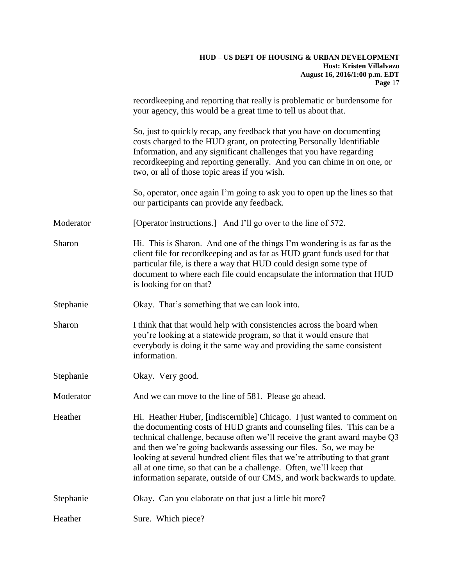|           | recordkeeping and reporting that really is problematic or burdensome for<br>your agency, this would be a great time to tell us about that.                                                                                                                                                                                                                                                                                                                                                                                             |  |
|-----------|----------------------------------------------------------------------------------------------------------------------------------------------------------------------------------------------------------------------------------------------------------------------------------------------------------------------------------------------------------------------------------------------------------------------------------------------------------------------------------------------------------------------------------------|--|
|           | So, just to quickly recap, any feedback that you have on documenting<br>costs charged to the HUD grant, on protecting Personally Identifiable<br>Information, and any significant challenges that you have regarding<br>recordkeeping and reporting generally. And you can chime in on one, or<br>two, or all of those topic areas if you wish.                                                                                                                                                                                        |  |
|           | So, operator, once again I'm going to ask you to open up the lines so that<br>our participants can provide any feedback.                                                                                                                                                                                                                                                                                                                                                                                                               |  |
| Moderator | [Operator instructions.] And I'll go over to the line of 572.                                                                                                                                                                                                                                                                                                                                                                                                                                                                          |  |
| Sharon    | Hi. This is Sharon. And one of the things I'm wondering is as far as the<br>client file for recordkeeping and as far as HUD grant funds used for that<br>particular file, is there a way that HUD could design some type of<br>document to where each file could encapsulate the information that HUD<br>is looking for on that?                                                                                                                                                                                                       |  |
| Stephanie | Okay. That's something that we can look into.                                                                                                                                                                                                                                                                                                                                                                                                                                                                                          |  |
| Sharon    | I think that that would help with consistencies across the board when<br>you're looking at a statewide program, so that it would ensure that<br>everybody is doing it the same way and providing the same consistent<br>information.                                                                                                                                                                                                                                                                                                   |  |
| Stephanie | Okay. Very good.                                                                                                                                                                                                                                                                                                                                                                                                                                                                                                                       |  |
| Moderator | And we can move to the line of 581. Please go ahead.                                                                                                                                                                                                                                                                                                                                                                                                                                                                                   |  |
| Heather   | Hi. Heather Huber, [indiscernible] Chicago. I just wanted to comment on<br>the documenting costs of HUD grants and counseling files. This can be a<br>technical challenge, because often we'll receive the grant award maybe Q3<br>and then we're going backwards assessing our files. So, we may be<br>looking at several hundred client files that we're attributing to that grant<br>all at one time, so that can be a challenge. Often, we'll keep that<br>information separate, outside of our CMS, and work backwards to update. |  |
| Stephanie | Okay. Can you elaborate on that just a little bit more?                                                                                                                                                                                                                                                                                                                                                                                                                                                                                |  |
| Heather   | Sure. Which piece?                                                                                                                                                                                                                                                                                                                                                                                                                                                                                                                     |  |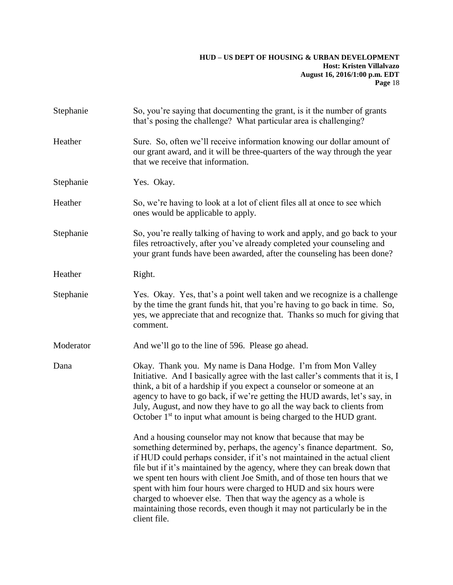| Stephanie | So, you're saying that documenting the grant, is it the number of grants<br>that's posing the challenge? What particular area is challenging?                                                                                                                                                                                                                                                                                                                                                                                                                                                                     |  |  |
|-----------|-------------------------------------------------------------------------------------------------------------------------------------------------------------------------------------------------------------------------------------------------------------------------------------------------------------------------------------------------------------------------------------------------------------------------------------------------------------------------------------------------------------------------------------------------------------------------------------------------------------------|--|--|
| Heather   | Sure. So, often we'll receive information knowing our dollar amount of<br>our grant award, and it will be three-quarters of the way through the year<br>that we receive that information.                                                                                                                                                                                                                                                                                                                                                                                                                         |  |  |
| Stephanie | Yes. Okay.                                                                                                                                                                                                                                                                                                                                                                                                                                                                                                                                                                                                        |  |  |
| Heather   | So, we're having to look at a lot of client files all at once to see which<br>ones would be applicable to apply.                                                                                                                                                                                                                                                                                                                                                                                                                                                                                                  |  |  |
| Stephanie | So, you're really talking of having to work and apply, and go back to your<br>files retroactively, after you've already completed your counseling and<br>your grant funds have been awarded, after the counseling has been done?                                                                                                                                                                                                                                                                                                                                                                                  |  |  |
| Heather   | Right.                                                                                                                                                                                                                                                                                                                                                                                                                                                                                                                                                                                                            |  |  |
| Stephanie | Yes. Okay. Yes, that's a point well taken and we recognize is a challenge<br>by the time the grant funds hit, that you're having to go back in time. So,<br>yes, we appreciate that and recognize that. Thanks so much for giving that<br>comment.                                                                                                                                                                                                                                                                                                                                                                |  |  |
| Moderator | And we'll go to the line of 596. Please go ahead.                                                                                                                                                                                                                                                                                                                                                                                                                                                                                                                                                                 |  |  |
| Dana      | Okay. Thank you. My name is Dana Hodge. I'm from Mon Valley<br>Initiative. And I basically agree with the last caller's comments that it is, I<br>think, a bit of a hardship if you expect a counselor or someone at an<br>agency to have to go back, if we're getting the HUD awards, let's say, in<br>July, August, and now they have to go all the way back to clients from<br>October 1 <sup>st</sup> to input what amount is being charged to the HUD grant.                                                                                                                                                 |  |  |
|           | And a housing counselor may not know that because that may be<br>something determined by, perhaps, the agency's finance department. So,<br>if HUD could perhaps consider, if it's not maintained in the actual client<br>file but if it's maintained by the agency, where they can break down that<br>we spent ten hours with client Joe Smith, and of those ten hours that we<br>spent with him four hours were charged to HUD and six hours were<br>charged to whoever else. Then that way the agency as a whole is<br>maintaining those records, even though it may not particularly be in the<br>client file. |  |  |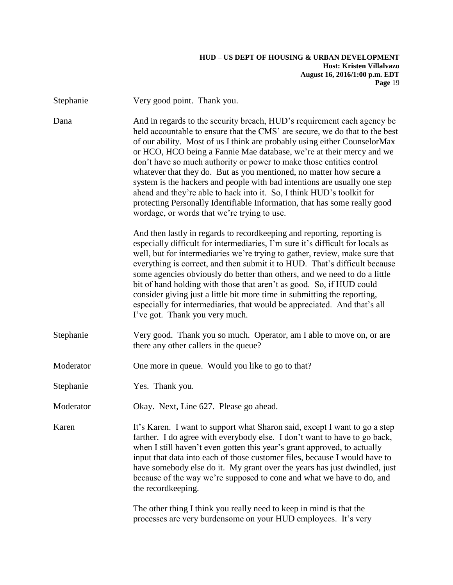| Stephanie                                                                                                                                                                                                                                                                                                                                                                                                                                                                                                                                                                                                                                                                                                                                            | Very good point. Thank you.                                                                                                                                                                                                                                                                                                                                                                                                                                                                                                                                                                                                                                           |  |
|------------------------------------------------------------------------------------------------------------------------------------------------------------------------------------------------------------------------------------------------------------------------------------------------------------------------------------------------------------------------------------------------------------------------------------------------------------------------------------------------------------------------------------------------------------------------------------------------------------------------------------------------------------------------------------------------------------------------------------------------------|-----------------------------------------------------------------------------------------------------------------------------------------------------------------------------------------------------------------------------------------------------------------------------------------------------------------------------------------------------------------------------------------------------------------------------------------------------------------------------------------------------------------------------------------------------------------------------------------------------------------------------------------------------------------------|--|
| And in regards to the security breach, HUD's requirement each agency be<br>Dana<br>held accountable to ensure that the CMS' are secure, we do that to the best<br>of our ability. Most of us I think are probably using either CounselorMax<br>or HCO, HCO being a Fannie Mae database, we're at their mercy and we<br>don't have so much authority or power to make those entities control<br>whatever that they do. But as you mentioned, no matter how secure a<br>system is the hackers and people with bad intentions are usually one step<br>ahead and they're able to hack into it. So, I think HUD's toolkit for<br>protecting Personally Identifiable Information, that has some really good<br>wordage, or words that we're trying to use. |                                                                                                                                                                                                                                                                                                                                                                                                                                                                                                                                                                                                                                                                       |  |
|                                                                                                                                                                                                                                                                                                                                                                                                                                                                                                                                                                                                                                                                                                                                                      | And then lastly in regards to recordkeeping and reporting, reporting is<br>especially difficult for intermediaries, I'm sure it's difficult for locals as<br>well, but for intermediaries we're trying to gather, review, make sure that<br>everything is correct, and then submit it to HUD. That's difficult because<br>some agencies obviously do better than others, and we need to do a little<br>bit of hand holding with those that aren't as good. So, if HUD could<br>consider giving just a little bit more time in submitting the reporting,<br>especially for intermediaries, that would be appreciated. And that's all<br>I've got. Thank you very much. |  |
| Stephanie                                                                                                                                                                                                                                                                                                                                                                                                                                                                                                                                                                                                                                                                                                                                            | Very good. Thank you so much. Operator, am I able to move on, or are<br>there any other callers in the queue?                                                                                                                                                                                                                                                                                                                                                                                                                                                                                                                                                         |  |
| Moderator                                                                                                                                                                                                                                                                                                                                                                                                                                                                                                                                                                                                                                                                                                                                            | One more in queue. Would you like to go to that?                                                                                                                                                                                                                                                                                                                                                                                                                                                                                                                                                                                                                      |  |
| Stephanie                                                                                                                                                                                                                                                                                                                                                                                                                                                                                                                                                                                                                                                                                                                                            | Yes. Thank you.                                                                                                                                                                                                                                                                                                                                                                                                                                                                                                                                                                                                                                                       |  |
| Moderator                                                                                                                                                                                                                                                                                                                                                                                                                                                                                                                                                                                                                                                                                                                                            | Okay. Next, Line 627. Please go ahead.                                                                                                                                                                                                                                                                                                                                                                                                                                                                                                                                                                                                                                |  |
| Karen                                                                                                                                                                                                                                                                                                                                                                                                                                                                                                                                                                                                                                                                                                                                                | It's Karen. I want to support what Sharon said, except I want to go a step<br>farther. I do agree with everybody else. I don't want to have to go back,<br>when I still haven't even gotten this year's grant approved, to actually<br>input that data into each of those customer files, because I would have to<br>have somebody else do it. My grant over the years has just dwindled, just<br>because of the way we're supposed to cone and what we have to do, and<br>the recordkeeping.                                                                                                                                                                         |  |
|                                                                                                                                                                                                                                                                                                                                                                                                                                                                                                                                                                                                                                                                                                                                                      | The other thing I think you really need to keep in mind is that the                                                                                                                                                                                                                                                                                                                                                                                                                                                                                                                                                                                                   |  |

processes are very burdensome on your HUD employees. It's very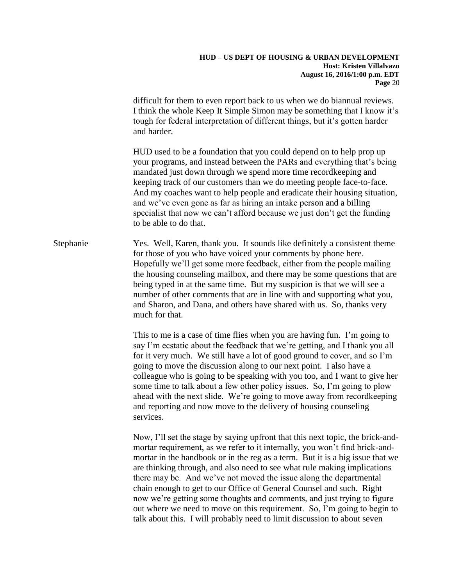difficult for them to even report back to us when we do biannual reviews. I think the whole Keep It Simple Simon may be something that I know it's tough for federal interpretation of different things, but it's gotten harder and harder.

HUD used to be a foundation that you could depend on to help prop up your programs, and instead between the PARs and everything that's being mandated just down through we spend more time recordkeeping and keeping track of our customers than we do meeting people face-to-face. And my coaches want to help people and eradicate their housing situation, and we've even gone as far as hiring an intake person and a billing specialist that now we can't afford because we just don't get the funding to be able to do that.

Stephanie Yes. Well, Karen, thank you. It sounds like definitely a consistent theme for those of you who have voiced your comments by phone here. Hopefully we'll get some more feedback, either from the people mailing the housing counseling mailbox, and there may be some questions that are being typed in at the same time. But my suspicion is that we will see a number of other comments that are in line with and supporting what you, and Sharon, and Dana, and others have shared with us. So, thanks very much for that.

> This to me is a case of time flies when you are having fun. I'm going to say I'm ecstatic about the feedback that we're getting, and I thank you all for it very much. We still have a lot of good ground to cover, and so I'm going to move the discussion along to our next point. I also have a colleague who is going to be speaking with you too, and I want to give her some time to talk about a few other policy issues. So, I'm going to plow ahead with the next slide. We're going to move away from recordkeeping and reporting and now move to the delivery of housing counseling services.

> Now, I'll set the stage by saying upfront that this next topic, the brick-andmortar requirement, as we refer to it internally, you won't find brick-andmortar in the handbook or in the reg as a term. But it is a big issue that we are thinking through, and also need to see what rule making implications there may be. And we've not moved the issue along the departmental chain enough to get to our Office of General Counsel and such. Right now we're getting some thoughts and comments, and just trying to figure out where we need to move on this requirement. So, I'm going to begin to talk about this. I will probably need to limit discussion to about seven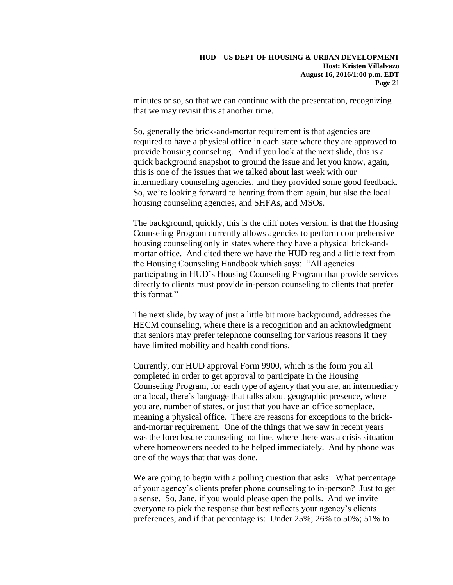minutes or so, so that we can continue with the presentation, recognizing that we may revisit this at another time.

So, generally the brick-and-mortar requirement is that agencies are required to have a physical office in each state where they are approved to provide housing counseling. And if you look at the next slide, this is a quick background snapshot to ground the issue and let you know, again, this is one of the issues that we talked about last week with our intermediary counseling agencies, and they provided some good feedback. So, we're looking forward to hearing from them again, but also the local housing counseling agencies, and SHFAs, and MSOs.

The background, quickly, this is the cliff notes version, is that the Housing Counseling Program currently allows agencies to perform comprehensive housing counseling only in states where they have a physical brick-andmortar office. And cited there we have the HUD reg and a little text from the Housing Counseling Handbook which says: "All agencies participating in HUD's Housing Counseling Program that provide services directly to clients must provide in-person counseling to clients that prefer this format."

The next slide, by way of just a little bit more background, addresses the HECM counseling, where there is a recognition and an acknowledgment that seniors may prefer telephone counseling for various reasons if they have limited mobility and health conditions.

Currently, our HUD approval Form 9900, which is the form you all completed in order to get approval to participate in the Housing Counseling Program, for each type of agency that you are, an intermediary or a local, there's language that talks about geographic presence, where you are, number of states, or just that you have an office someplace, meaning a physical office. There are reasons for exceptions to the brickand-mortar requirement. One of the things that we saw in recent years was the foreclosure counseling hot line, where there was a crisis situation where homeowners needed to be helped immediately. And by phone was one of the ways that that was done.

We are going to begin with a polling question that asks: What percentage of your agency's clients prefer phone counseling to in-person? Just to get a sense. So, Jane, if you would please open the polls. And we invite everyone to pick the response that best reflects your agency's clients preferences, and if that percentage is: Under 25%; 26% to 50%; 51% to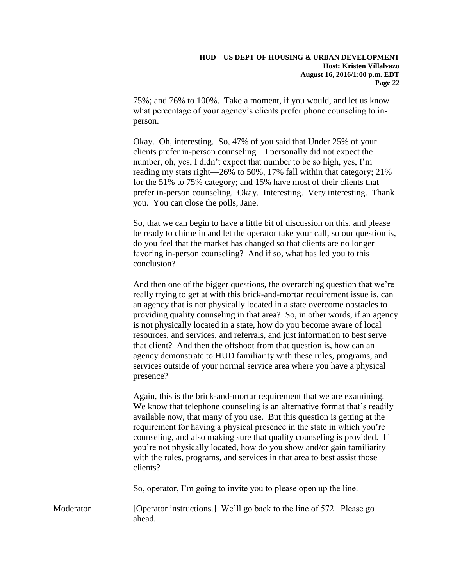75%; and 76% to 100%. Take a moment, if you would, and let us know what percentage of your agency's clients prefer phone counseling to inperson.

Okay. Oh, interesting. So, 47% of you said that Under 25% of your clients prefer in-person counseling—I personally did not expect the number, oh, yes, I didn't expect that number to be so high, yes, I'm reading my stats right—26% to 50%, 17% fall within that category; 21% for the 51% to 75% category; and 15% have most of their clients that prefer in-person counseling. Okay. Interesting. Very interesting. Thank you. You can close the polls, Jane.

So, that we can begin to have a little bit of discussion on this, and please be ready to chime in and let the operator take your call, so our question is, do you feel that the market has changed so that clients are no longer favoring in-person counseling? And if so, what has led you to this conclusion?

And then one of the bigger questions, the overarching question that we're really trying to get at with this brick-and-mortar requirement issue is, can an agency that is not physically located in a state overcome obstacles to providing quality counseling in that area? So, in other words, if an agency is not physically located in a state, how do you become aware of local resources, and services, and referrals, and just information to best serve that client? And then the offshoot from that question is, how can an agency demonstrate to HUD familiarity with these rules, programs, and services outside of your normal service area where you have a physical presence?

Again, this is the brick-and-mortar requirement that we are examining. We know that telephone counseling is an alternative format that's readily available now, that many of you use. But this question is getting at the requirement for having a physical presence in the state in which you're counseling, and also making sure that quality counseling is provided. If you're not physically located, how do you show and/or gain familiarity with the rules, programs, and services in that area to best assist those clients?

So, operator, I'm going to invite you to please open up the line.

Moderator [Operator instructions.] We'll go back to the line of 572. Please go ahead.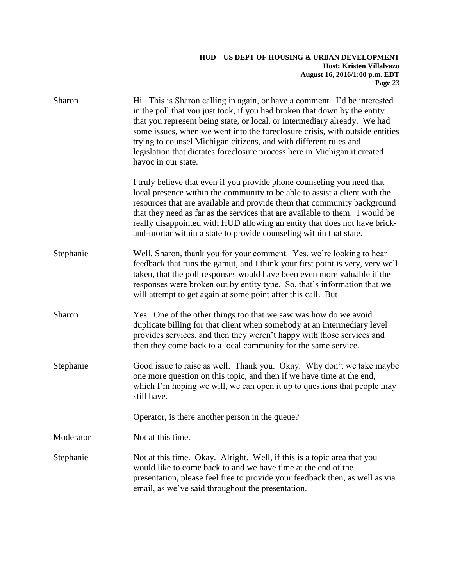| Sharon    | Hi. This is Sharon calling in again, or have a comment. I'd be interested<br>in the poll that you just took, if you had broken that down by the entity<br>that you represent being state, or local, or intermediary already. We had<br>some issues, when we went into the foreclosure crisis, with outside entities<br>trying to counsel Michigan citizens, and with different rules and<br>legislation that dictates foreclosure process here in Michigan it created<br>havoc in our state. |
|-----------|----------------------------------------------------------------------------------------------------------------------------------------------------------------------------------------------------------------------------------------------------------------------------------------------------------------------------------------------------------------------------------------------------------------------------------------------------------------------------------------------|
|           | I truly believe that even if you provide phone counseling you need that<br>local presence within the community to be able to assist a client with the<br>resources that are available and provide them that community background<br>that they need as far as the services that are available to them. I would be<br>really disappointed with HUD allowing an entity that does not have brick-<br>and-mortar within a state to provide counseling within that state.                          |
| Stephanie | Well, Sharon, thank you for your comment. Yes, we're looking to hear<br>feedback that runs the gamut, and I think your first point is very, very well<br>taken, that the poll responses would have been even more valuable if the<br>responses were broken out by entity type. So, that's information that we<br>will attempt to get again at some point after this call. But—                                                                                                               |
| Sharon    | Yes. One of the other things too that we saw was how do we avoid<br>duplicate billing for that client when somebody at an intermediary level<br>provides services, and then they weren't happy with those services and<br>then they come back to a local community for the same service.                                                                                                                                                                                                     |
| Stephanie | Good issue to raise as well. Thank you. Okay. Why don't we take maybe<br>one more question on this topic, and then if we have time at the end,<br>which I'm hoping we will, we can open it up to questions that people may<br>still have.                                                                                                                                                                                                                                                    |
|           | Operator, is there another person in the queue?                                                                                                                                                                                                                                                                                                                                                                                                                                              |
| Moderator | Not at this time.                                                                                                                                                                                                                                                                                                                                                                                                                                                                            |
| Stephanie | Not at this time. Okay. Alright. Well, if this is a topic area that you<br>would like to come back to and we have time at the end of the<br>presentation, please feel free to provide your feedback then, as well as via<br>email, as we've said throughout the presentation.                                                                                                                                                                                                                |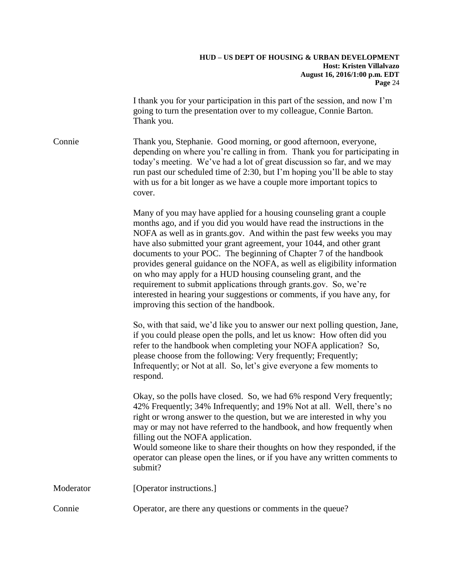I thank you for your participation in this part of the session, and now I'm going to turn the presentation over to my colleague, Connie Barton. Thank you.

Connie Thank you, Stephanie. Good morning, or good afternoon, everyone, depending on where you're calling in from. Thank you for participating in today's meeting. We've had a lot of great discussion so far, and we may run past our scheduled time of 2:30, but I'm hoping you'll be able to stay with us for a bit longer as we have a couple more important topics to cover.

> Many of you may have applied for a housing counseling grant a couple months ago, and if you did you would have read the instructions in the NOFA as well as in grants.gov. And within the past few weeks you may have also submitted your grant agreement, your 1044, and other grant documents to your POC. The beginning of Chapter 7 of the handbook provides general guidance on the NOFA, as well as eligibility information on who may apply for a HUD housing counseling grant, and the requirement to submit applications through grants.gov. So, we're interested in hearing your suggestions or comments, if you have any, for improving this section of the handbook.

> So, with that said, we'd like you to answer our next polling question, Jane, if you could please open the polls, and let us know: How often did you refer to the handbook when completing your NOFA application? So, please choose from the following: Very frequently; Frequently; Infrequently; or Not at all. So, let's give everyone a few moments to respond.

Okay, so the polls have closed. So, we had 6% respond Very frequently; 42% Frequently; 34% Infrequently; and 19% Not at all. Well, there's no right or wrong answer to the question, but we are interested in why you may or may not have referred to the handbook, and how frequently when filling out the NOFA application.

Would someone like to share their thoughts on how they responded, if the operator can please open the lines, or if you have any written comments to submit?

| Moderator | [Operator instructions.] |
|-----------|--------------------------|
|           |                          |

Connie Operator, are there any questions or comments in the queue?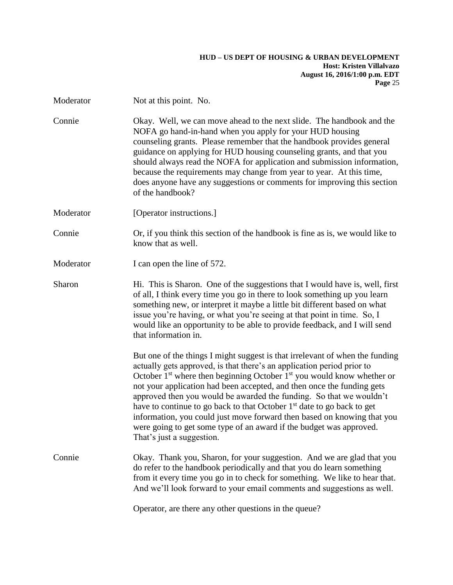| Moderator | Not at this point. No.                                                                                                                                                                                                                                                                                                                                                                                                                                                                                                                                                                                                                                     |
|-----------|------------------------------------------------------------------------------------------------------------------------------------------------------------------------------------------------------------------------------------------------------------------------------------------------------------------------------------------------------------------------------------------------------------------------------------------------------------------------------------------------------------------------------------------------------------------------------------------------------------------------------------------------------------|
| Connie    | Okay. Well, we can move ahead to the next slide. The handbook and the<br>NOFA go hand-in-hand when you apply for your HUD housing<br>counseling grants. Please remember that the handbook provides general<br>guidance on applying for HUD housing counseling grants, and that you<br>should always read the NOFA for application and submission information,<br>because the requirements may change from year to year. At this time,<br>does anyone have any suggestions or comments for improving this section<br>of the handbook?                                                                                                                       |
| Moderator | [Operator instructions.]                                                                                                                                                                                                                                                                                                                                                                                                                                                                                                                                                                                                                                   |
| Connie    | Or, if you think this section of the handbook is fine as is, we would like to<br>know that as well.                                                                                                                                                                                                                                                                                                                                                                                                                                                                                                                                                        |
| Moderator | I can open the line of 572.                                                                                                                                                                                                                                                                                                                                                                                                                                                                                                                                                                                                                                |
| Sharon    | Hi. This is Sharon. One of the suggestions that I would have is, well, first<br>of all, I think every time you go in there to look something up you learn<br>something new, or interpret it maybe a little bit different based on what<br>issue you're having, or what you're seeing at that point in time. So, I<br>would like an opportunity to be able to provide feedback, and I will send<br>that information in.                                                                                                                                                                                                                                     |
|           | But one of the things I might suggest is that irrelevant of when the funding<br>actually gets approved, is that there's an application period prior to<br>October $1st$ where then beginning October $1st$ you would know whether or<br>not your application had been accepted, and then once the funding gets<br>approved then you would be awarded the funding. So that we wouldn't<br>have to continue to go back to that October 1 <sup>st</sup> date to go back to get<br>information, you could just move forward then based on knowing that you<br>were going to get some type of an award if the budget was approved.<br>That's just a suggestion. |
| Connie    | Okay. Thank you, Sharon, for your suggestion. And we are glad that you<br>do refer to the handbook periodically and that you do learn something<br>from it every time you go in to check for something. We like to hear that.<br>And we'll look forward to your email comments and suggestions as well.                                                                                                                                                                                                                                                                                                                                                    |
|           | Operator, are there any other questions in the queue?                                                                                                                                                                                                                                                                                                                                                                                                                                                                                                                                                                                                      |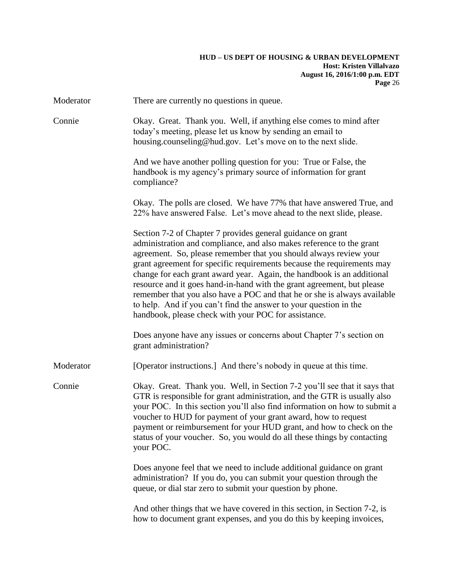| Moderator | There are currently no questions in queue.                                                                                                                                                                                                                                                                                                                                                                                                                                                                                                                                                                                                      |
|-----------|-------------------------------------------------------------------------------------------------------------------------------------------------------------------------------------------------------------------------------------------------------------------------------------------------------------------------------------------------------------------------------------------------------------------------------------------------------------------------------------------------------------------------------------------------------------------------------------------------------------------------------------------------|
| Connie    | Okay. Great. Thank you. Well, if anything else comes to mind after<br>today's meeting, please let us know by sending an email to<br>housing.counseling@hud.gov. Let's move on to the next slide.                                                                                                                                                                                                                                                                                                                                                                                                                                                |
|           | And we have another polling question for you: True or False, the<br>handbook is my agency's primary source of information for grant<br>compliance?                                                                                                                                                                                                                                                                                                                                                                                                                                                                                              |
|           | Okay. The polls are closed. We have 77% that have answered True, and<br>22% have answered False. Let's move ahead to the next slide, please.                                                                                                                                                                                                                                                                                                                                                                                                                                                                                                    |
|           | Section 7-2 of Chapter 7 provides general guidance on grant<br>administration and compliance, and also makes reference to the grant<br>agreement. So, please remember that you should always review your<br>grant agreement for specific requirements because the requirements may<br>change for each grant award year. Again, the handbook is an additional<br>resource and it goes hand-in-hand with the grant agreement, but please<br>remember that you also have a POC and that he or she is always available<br>to help. And if you can't find the answer to your question in the<br>handbook, please check with your POC for assistance. |
|           | Does anyone have any issues or concerns about Chapter 7's section on<br>grant administration?                                                                                                                                                                                                                                                                                                                                                                                                                                                                                                                                                   |
| Moderator | [Operator instructions.] And there's nobody in queue at this time.                                                                                                                                                                                                                                                                                                                                                                                                                                                                                                                                                                              |
| Connie    | Okay. Great. Thank you. Well, in Section 7-2 you'll see that it says that<br>GTR is responsible for grant administration, and the GTR is usually also<br>your POC. In this section you'll also find information on how to submit a<br>voucher to HUD for payment of your grant award, how to request<br>payment or reimbursement for your HUD grant, and how to check on the<br>status of your voucher. So, you would do all these things by contacting<br>your POC.                                                                                                                                                                            |
|           | Does anyone feel that we need to include additional guidance on grant<br>administration? If you do, you can submit your question through the<br>queue, or dial star zero to submit your question by phone.                                                                                                                                                                                                                                                                                                                                                                                                                                      |
|           | And other things that we have covered in this section, in Section 7-2, is<br>how to document grant expenses, and you do this by keeping invoices,                                                                                                                                                                                                                                                                                                                                                                                                                                                                                               |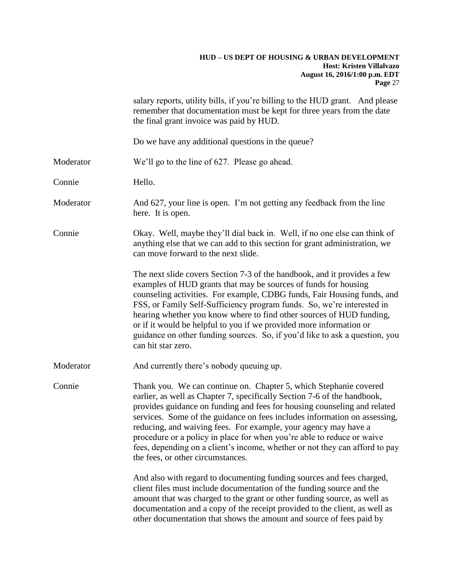|           | salary reports, utility bills, if you're billing to the HUD grant. And please<br>remember that documentation must be kept for three years from the date<br>the final grant invoice was paid by HUD.                                                                                                                                                                                                                                                                                                                                                                     |
|-----------|-------------------------------------------------------------------------------------------------------------------------------------------------------------------------------------------------------------------------------------------------------------------------------------------------------------------------------------------------------------------------------------------------------------------------------------------------------------------------------------------------------------------------------------------------------------------------|
|           | Do we have any additional questions in the queue?                                                                                                                                                                                                                                                                                                                                                                                                                                                                                                                       |
| Moderator | We'll go to the line of 627. Please go ahead.                                                                                                                                                                                                                                                                                                                                                                                                                                                                                                                           |
| Connie    | Hello.                                                                                                                                                                                                                                                                                                                                                                                                                                                                                                                                                                  |
| Moderator | And 627, your line is open. I'm not getting any feedback from the line<br>here. It is open.                                                                                                                                                                                                                                                                                                                                                                                                                                                                             |
| Connie    | Okay. Well, maybe they'll dial back in. Well, if no one else can think of<br>anything else that we can add to this section for grant administration, we<br>can move forward to the next slide.                                                                                                                                                                                                                                                                                                                                                                          |
|           | The next slide covers Section 7-3 of the handbook, and it provides a few<br>examples of HUD grants that may be sources of funds for housing<br>counseling activities. For example, CDBG funds, Fair Housing funds, and<br>FSS, or Family Self-Sufficiency program funds. So, we're interested in<br>hearing whether you know where to find other sources of HUD funding,<br>or if it would be helpful to you if we provided more information or<br>guidance on other funding sources. So, if you'd like to ask a question, you<br>can hit star zero.                    |
| Moderator | And currently there's nobody queuing up.                                                                                                                                                                                                                                                                                                                                                                                                                                                                                                                                |
| Connie    | Thank you. We can continue on. Chapter 5, which Stephanie covered<br>earlier, as well as Chapter 7, specifically Section 7-6 of the handbook,<br>provides guidance on funding and fees for housing counseling and related<br>services. Some of the guidance on fees includes information on assessing,<br>reducing, and waiving fees. For example, your agency may have a<br>procedure or a policy in place for when you're able to reduce or waive<br>fees, depending on a client's income, whether or not they can afford to pay<br>the fees, or other circumstances. |
|           | And also with regard to documenting funding sources and fees charged,<br>client files must include documentation of the funding source and the<br>amount that was charged to the grant or other funding source, as well as<br>documentation and a copy of the receipt provided to the client, as well as<br>other documentation that shows the amount and source of fees paid by                                                                                                                                                                                        |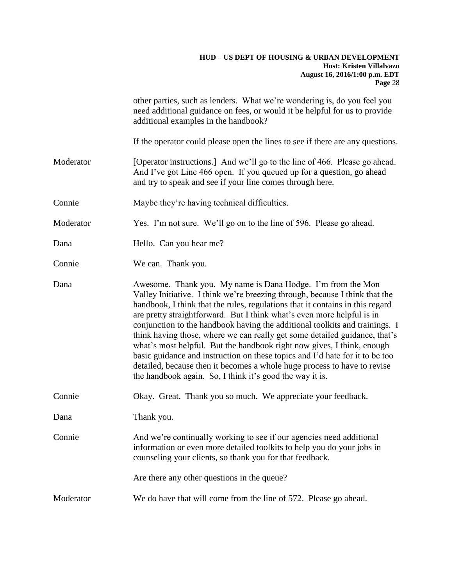|           | other parties, such as lenders. What we're wondering is, do you feel you<br>need additional guidance on fees, or would it be helpful for us to provide<br>additional examples in the handbook?                                                                                                                                                                                                                                                                                                                                                                                                                                                                                                                                                                       |
|-----------|----------------------------------------------------------------------------------------------------------------------------------------------------------------------------------------------------------------------------------------------------------------------------------------------------------------------------------------------------------------------------------------------------------------------------------------------------------------------------------------------------------------------------------------------------------------------------------------------------------------------------------------------------------------------------------------------------------------------------------------------------------------------|
|           | If the operator could please open the lines to see if there are any questions.                                                                                                                                                                                                                                                                                                                                                                                                                                                                                                                                                                                                                                                                                       |
| Moderator | [Operator instructions.] And we'll go to the line of 466. Please go ahead.<br>And I've got Line 466 open. If you queued up for a question, go ahead<br>and try to speak and see if your line comes through here.                                                                                                                                                                                                                                                                                                                                                                                                                                                                                                                                                     |
| Connie    | Maybe they're having technical difficulties.                                                                                                                                                                                                                                                                                                                                                                                                                                                                                                                                                                                                                                                                                                                         |
| Moderator | Yes. I'm not sure. We'll go on to the line of 596. Please go ahead.                                                                                                                                                                                                                                                                                                                                                                                                                                                                                                                                                                                                                                                                                                  |
| Dana      | Hello. Can you hear me?                                                                                                                                                                                                                                                                                                                                                                                                                                                                                                                                                                                                                                                                                                                                              |
| Connie    | We can. Thank you.                                                                                                                                                                                                                                                                                                                                                                                                                                                                                                                                                                                                                                                                                                                                                   |
| Dana      | Awesome. Thank you. My name is Dana Hodge. I'm from the Mon<br>Valley Initiative. I think we're breezing through, because I think that the<br>handbook, I think that the rules, regulations that it contains in this regard<br>are pretty straightforward. But I think what's even more helpful is in<br>conjunction to the handbook having the additional toolkits and trainings. I<br>think having those, where we can really get some detailed guidance, that's<br>what's most helpful. But the handbook right now gives, I think, enough<br>basic guidance and instruction on these topics and I'd hate for it to be too<br>detailed, because then it becomes a whole huge process to have to revise<br>the handbook again. So, I think it's good the way it is. |
| Connie    | Okay. Great. Thank you so much. We appreciate your feedback.                                                                                                                                                                                                                                                                                                                                                                                                                                                                                                                                                                                                                                                                                                         |
| Dana      | Thank you.                                                                                                                                                                                                                                                                                                                                                                                                                                                                                                                                                                                                                                                                                                                                                           |
| Connie    | And we're continually working to see if our agencies need additional<br>information or even more detailed toolkits to help you do your jobs in<br>counseling your clients, so thank you for that feedback.                                                                                                                                                                                                                                                                                                                                                                                                                                                                                                                                                           |
|           | Are there any other questions in the queue?                                                                                                                                                                                                                                                                                                                                                                                                                                                                                                                                                                                                                                                                                                                          |
| Moderator | We do have that will come from the line of 572. Please go ahead.                                                                                                                                                                                                                                                                                                                                                                                                                                                                                                                                                                                                                                                                                                     |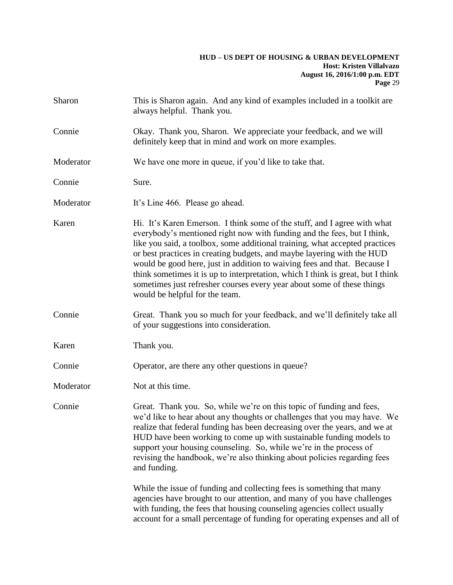| Sharon    | This is Sharon again. And any kind of examples included in a toolkit are<br>always helpful. Thank you.                                                                                                                                                                                                                                                                                                                                                                                                                                                                                  |
|-----------|-----------------------------------------------------------------------------------------------------------------------------------------------------------------------------------------------------------------------------------------------------------------------------------------------------------------------------------------------------------------------------------------------------------------------------------------------------------------------------------------------------------------------------------------------------------------------------------------|
| Connie    | Okay. Thank you, Sharon. We appreciate your feedback, and we will<br>definitely keep that in mind and work on more examples.                                                                                                                                                                                                                                                                                                                                                                                                                                                            |
| Moderator | We have one more in queue, if you'd like to take that.                                                                                                                                                                                                                                                                                                                                                                                                                                                                                                                                  |
| Connie    | Sure.                                                                                                                                                                                                                                                                                                                                                                                                                                                                                                                                                                                   |
| Moderator | It's Line 466. Please go ahead.                                                                                                                                                                                                                                                                                                                                                                                                                                                                                                                                                         |
| Karen     | Hi. It's Karen Emerson. I think some of the stuff, and I agree with what<br>everybody's mentioned right now with funding and the fees, but I think,<br>like you said, a toolbox, some additional training, what accepted practices<br>or best practices in creating budgets, and maybe layering with the HUD<br>would be good here, just in addition to waiving fees and that. Because I<br>think sometimes it is up to interpretation, which I think is great, but I think<br>sometimes just refresher courses every year about some of these things<br>would be helpful for the team. |
| Connie    | Great. Thank you so much for your feedback, and we'll definitely take all<br>of your suggestions into consideration.                                                                                                                                                                                                                                                                                                                                                                                                                                                                    |
| Karen     | Thank you.                                                                                                                                                                                                                                                                                                                                                                                                                                                                                                                                                                              |
| Connie    | Operator, are there any other questions in queue?                                                                                                                                                                                                                                                                                                                                                                                                                                                                                                                                       |
| Moderator | Not at this time.                                                                                                                                                                                                                                                                                                                                                                                                                                                                                                                                                                       |
| Connie    | Great. Thank you. So, while we're on this topic of funding and fees,<br>we'd like to hear about any thoughts or challenges that you may have. We<br>realize that federal funding has been decreasing over the years, and we at<br>HUD have been working to come up with sustainable funding models to<br>support your housing counseling. So, while we're in the process of<br>revising the handbook, we're also thinking about policies regarding fees<br>and funding.                                                                                                                 |
|           | While the issue of funding and collecting fees is something that many<br>agencies have brought to our attention, and many of you have challenges<br>with funding, the fees that housing counseling agencies collect usually<br>account for a small percentage of funding for operating expenses and all of                                                                                                                                                                                                                                                                              |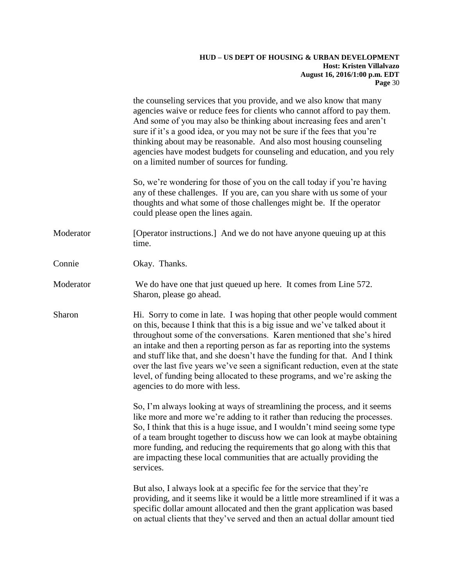the counseling services that you provide, and we also know that many agencies waive or reduce fees for clients who cannot afford to pay them. And some of you may also be thinking about increasing fees and aren't sure if it's a good idea, or you may not be sure if the fees that you're thinking about may be reasonable. And also most housing counseling agencies have modest budgets for counseling and education, and you rely on a limited number of sources for funding.

So, we're wondering for those of you on the call today if you're having any of these challenges. If you are, can you share with us some of your thoughts and what some of those challenges might be. If the operator could please open the lines again.

Moderator [Operator instructions.] And we do not have anyone queuing up at this time.

Connie Okay. Thanks.

Moderator We do have one that just queued up here. It comes from Line 572. Sharon, please go ahead.

Sharon Hi. Sorry to come in late. I was hoping that other people would comment on this, because I think that this is a big issue and we've talked about it throughout some of the conversations. Karen mentioned that she's hired an intake and then a reporting person as far as reporting into the systems and stuff like that, and she doesn't have the funding for that. And I think over the last five years we've seen a significant reduction, even at the state level, of funding being allocated to these programs, and we're asking the agencies to do more with less.

> So, I'm always looking at ways of streamlining the process, and it seems like more and more we're adding to it rather than reducing the processes. So, I think that this is a huge issue, and I wouldn't mind seeing some type of a team brought together to discuss how we can look at maybe obtaining more funding, and reducing the requirements that go along with this that are impacting these local communities that are actually providing the services.

But also, I always look at a specific fee for the service that they're providing, and it seems like it would be a little more streamlined if it was a specific dollar amount allocated and then the grant application was based on actual clients that they've served and then an actual dollar amount tied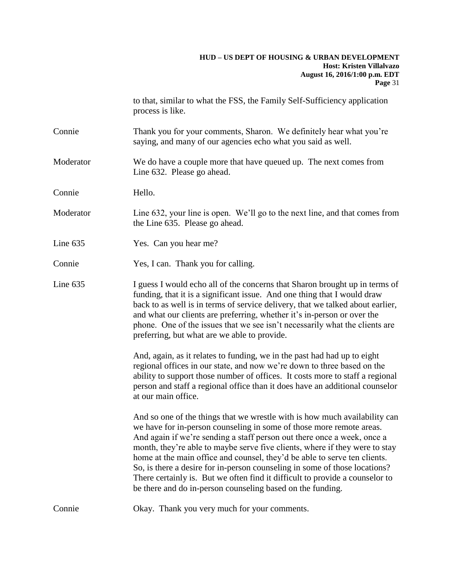to that, similar to what the FSS, the Family Self-Sufficiency application process is like.

- Connie Thank you for your comments, Sharon. We definitely hear what you're saying, and many of our agencies echo what you said as well.
- Moderator We do have a couple more that have queued up. The next comes from Line 632. Please go ahead.
- Connie Hello.
- Moderator Line 632, your line is open. We'll go to the next line, and that comes from the Line 635. Please go ahead.
- Line 635 Yes. Can you hear me?
- Connie Yes, I can. Thank you for calling.
- Line 635 I guess I would echo all of the concerns that Sharon brought up in terms of funding, that it is a significant issue. And one thing that I would draw back to as well is in terms of service delivery, that we talked about earlier, and what our clients are preferring, whether it's in-person or over the phone. One of the issues that we see isn't necessarily what the clients are preferring, but what are we able to provide.

And, again, as it relates to funding, we in the past had had up to eight regional offices in our state, and now we're down to three based on the ability to support those number of offices. It costs more to staff a regional person and staff a regional office than it does have an additional counselor at our main office.

And so one of the things that we wrestle with is how much availability can we have for in-person counseling in some of those more remote areas. And again if we're sending a staff person out there once a week, once a month, they're able to maybe serve five clients, where if they were to stay home at the main office and counsel, they'd be able to serve ten clients. So, is there a desire for in-person counseling in some of those locations? There certainly is. But we often find it difficult to provide a counselor to be there and do in-person counseling based on the funding.

Connie Okay. Thank you very much for your comments.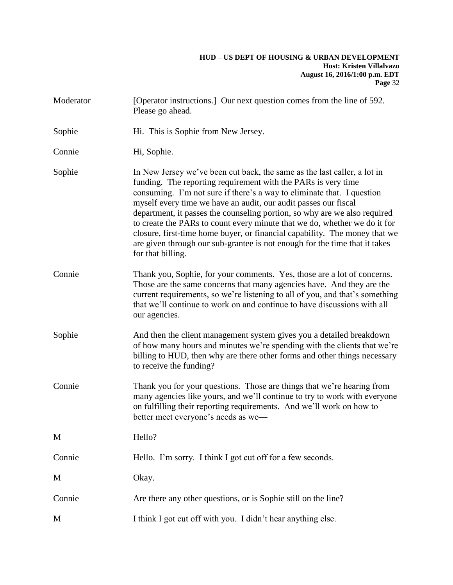| Moderator | [Operator instructions.] Our next question comes from the line of 592.<br>Please go ahead.                                                                                                                                                                                                                                                                                                                                                                                                                                                                                                                                        |
|-----------|-----------------------------------------------------------------------------------------------------------------------------------------------------------------------------------------------------------------------------------------------------------------------------------------------------------------------------------------------------------------------------------------------------------------------------------------------------------------------------------------------------------------------------------------------------------------------------------------------------------------------------------|
| Sophie    | Hi. This is Sophie from New Jersey.                                                                                                                                                                                                                                                                                                                                                                                                                                                                                                                                                                                               |
| Connie    | Hi, Sophie.                                                                                                                                                                                                                                                                                                                                                                                                                                                                                                                                                                                                                       |
| Sophie    | In New Jersey we've been cut back, the same as the last caller, a lot in<br>funding. The reporting requirement with the PARs is very time<br>consuming. I'm not sure if there's a way to eliminate that. I question<br>myself every time we have an audit, our audit passes our fiscal<br>department, it passes the counseling portion, so why are we also required<br>to create the PARs to count every minute that we do, whether we do it for<br>closure, first-time home buyer, or financial capability. The money that we<br>are given through our sub-grantee is not enough for the time that it takes<br>for that billing. |
| Connie    | Thank you, Sophie, for your comments. Yes, those are a lot of concerns.<br>Those are the same concerns that many agencies have. And they are the<br>current requirements, so we're listening to all of you, and that's something<br>that we'll continue to work on and continue to have discussions with all<br>our agencies.                                                                                                                                                                                                                                                                                                     |
| Sophie    | And then the client management system gives you a detailed breakdown<br>of how many hours and minutes we're spending with the clients that we're<br>billing to HUD, then why are there other forms and other things necessary<br>to receive the funding?                                                                                                                                                                                                                                                                                                                                                                          |
| Connie    | Thank you for your questions. Those are things that we're hearing from<br>many agencies like yours, and we'll continue to try to work with everyone<br>on fulfilling their reporting requirements. And we'll work on how to<br>better meet everyone's needs as we-                                                                                                                                                                                                                                                                                                                                                                |
| M         | Hello?                                                                                                                                                                                                                                                                                                                                                                                                                                                                                                                                                                                                                            |
| Connie    | Hello. I'm sorry. I think I got cut off for a few seconds.                                                                                                                                                                                                                                                                                                                                                                                                                                                                                                                                                                        |
| M         | Okay.                                                                                                                                                                                                                                                                                                                                                                                                                                                                                                                                                                                                                             |
| Connie    | Are there any other questions, or is Sophie still on the line?                                                                                                                                                                                                                                                                                                                                                                                                                                                                                                                                                                    |
| M         | I think I got cut off with you. I didn't hear anything else.                                                                                                                                                                                                                                                                                                                                                                                                                                                                                                                                                                      |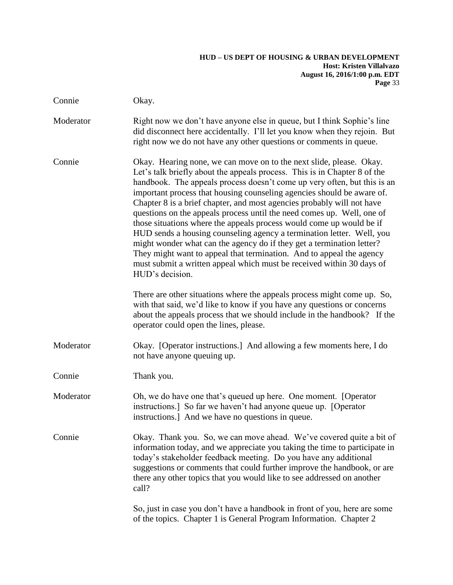| Connie    | Okay.                                                                                                                                                                                                                                                                                                                                                                                                                                                                                                                                                                                                                                                                                                                                                                                                                                                    |
|-----------|----------------------------------------------------------------------------------------------------------------------------------------------------------------------------------------------------------------------------------------------------------------------------------------------------------------------------------------------------------------------------------------------------------------------------------------------------------------------------------------------------------------------------------------------------------------------------------------------------------------------------------------------------------------------------------------------------------------------------------------------------------------------------------------------------------------------------------------------------------|
| Moderator | Right now we don't have anyone else in queue, but I think Sophie's line<br>did disconnect here accidentally. I'll let you know when they rejoin. But<br>right now we do not have any other questions or comments in queue.                                                                                                                                                                                                                                                                                                                                                                                                                                                                                                                                                                                                                               |
| Connie    | Okay. Hearing none, we can move on to the next slide, please. Okay.<br>Let's talk briefly about the appeals process. This is in Chapter 8 of the<br>handbook. The appeals process doesn't come up very often, but this is an<br>important process that housing counseling agencies should be aware of.<br>Chapter 8 is a brief chapter, and most agencies probably will not have<br>questions on the appeals process until the need comes up. Well, one of<br>those situations where the appeals process would come up would be if<br>HUD sends a housing counseling agency a termination letter. Well, you<br>might wonder what can the agency do if they get a termination letter?<br>They might want to appeal that termination. And to appeal the agency<br>must submit a written appeal which must be received within 30 days of<br>HUD's decision. |
|           | There are other situations where the appeals process might come up. So,<br>with that said, we'd like to know if you have any questions or concerns<br>about the appeals process that we should include in the handbook? If the<br>operator could open the lines, please.                                                                                                                                                                                                                                                                                                                                                                                                                                                                                                                                                                                 |
| Moderator | Okay. [Operator instructions.] And allowing a few moments here, I do<br>not have anyone queuing up.                                                                                                                                                                                                                                                                                                                                                                                                                                                                                                                                                                                                                                                                                                                                                      |
| Connie    | Thank you.                                                                                                                                                                                                                                                                                                                                                                                                                                                                                                                                                                                                                                                                                                                                                                                                                                               |
| Moderator | Oh, we do have one that's queued up here. One moment. [Operator<br>instructions.] So far we haven't had anyone queue up. [Operator<br>instructions.] And we have no questions in queue.                                                                                                                                                                                                                                                                                                                                                                                                                                                                                                                                                                                                                                                                  |
| Connie    | Okay. Thank you. So, we can move ahead. We've covered quite a bit of<br>information today, and we appreciate you taking the time to participate in<br>today's stakeholder feedback meeting. Do you have any additional<br>suggestions or comments that could further improve the handbook, or are<br>there any other topics that you would like to see addressed on another<br>call?                                                                                                                                                                                                                                                                                                                                                                                                                                                                     |
|           | So, just in case you don't have a handbook in front of you, here are some                                                                                                                                                                                                                                                                                                                                                                                                                                                                                                                                                                                                                                                                                                                                                                                |

of the topics. Chapter 1 is General Program Information. Chapter 2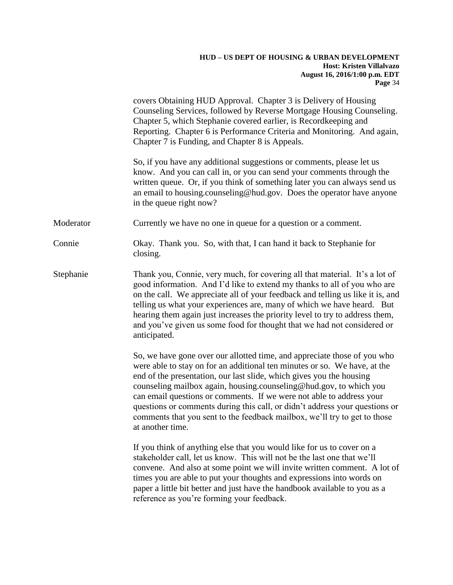|           | covers Obtaining HUD Approval. Chapter 3 is Delivery of Housing<br>Counseling Services, followed by Reverse Mortgage Housing Counseling.<br>Chapter 5, which Stephanie covered earlier, is Recordkeeping and<br>Reporting. Chapter 6 is Performance Criteria and Monitoring. And again,<br>Chapter 7 is Funding, and Chapter 8 is Appeals.                                                                                                                                                                                                                  |
|-----------|-------------------------------------------------------------------------------------------------------------------------------------------------------------------------------------------------------------------------------------------------------------------------------------------------------------------------------------------------------------------------------------------------------------------------------------------------------------------------------------------------------------------------------------------------------------|
|           | So, if you have any additional suggestions or comments, please let us<br>know. And you can call in, or you can send your comments through the<br>written queue. Or, if you think of something later you can always send us<br>an email to housing.counseling@hud.gov. Does the operator have anyone<br>in the queue right now?                                                                                                                                                                                                                              |
| Moderator | Currently we have no one in queue for a question or a comment.                                                                                                                                                                                                                                                                                                                                                                                                                                                                                              |
| Connie    | Okay. Thank you. So, with that, I can hand it back to Stephanie for<br>closing.                                                                                                                                                                                                                                                                                                                                                                                                                                                                             |
| Stephanie | Thank you, Connie, very much, for covering all that material. It's a lot of<br>good information. And I'd like to extend my thanks to all of you who are<br>on the call. We appreciate all of your feedback and telling us like it is, and<br>telling us what your experiences are, many of which we have heard. But<br>hearing them again just increases the priority level to try to address them,<br>and you've given us some food for thought that we had not considered or<br>anticipated.                                                              |
|           | So, we have gone over our allotted time, and appreciate those of you who<br>were able to stay on for an additional ten minutes or so. We have, at the<br>end of the presentation, our last slide, which gives you the housing<br>counseling mailbox again, housing.counseling@hud.gov, to which you<br>can email questions or comments. If we were not able to address your<br>questions or comments during this call, or didn't address your questions or<br>comments that you sent to the feedback mailbox, we'll try to get to those<br>at another time. |
|           | If you think of anything else that you would like for us to cover on a<br>stakeholder call, let us know. This will not be the last one that we'll<br>convene. And also at some point we will invite written comment. A lot of<br>times you are able to put your thoughts and expressions into words on<br>paper a little bit better and just have the handbook available to you as a<br>reference as you're forming your feedback.                                                                                                                          |